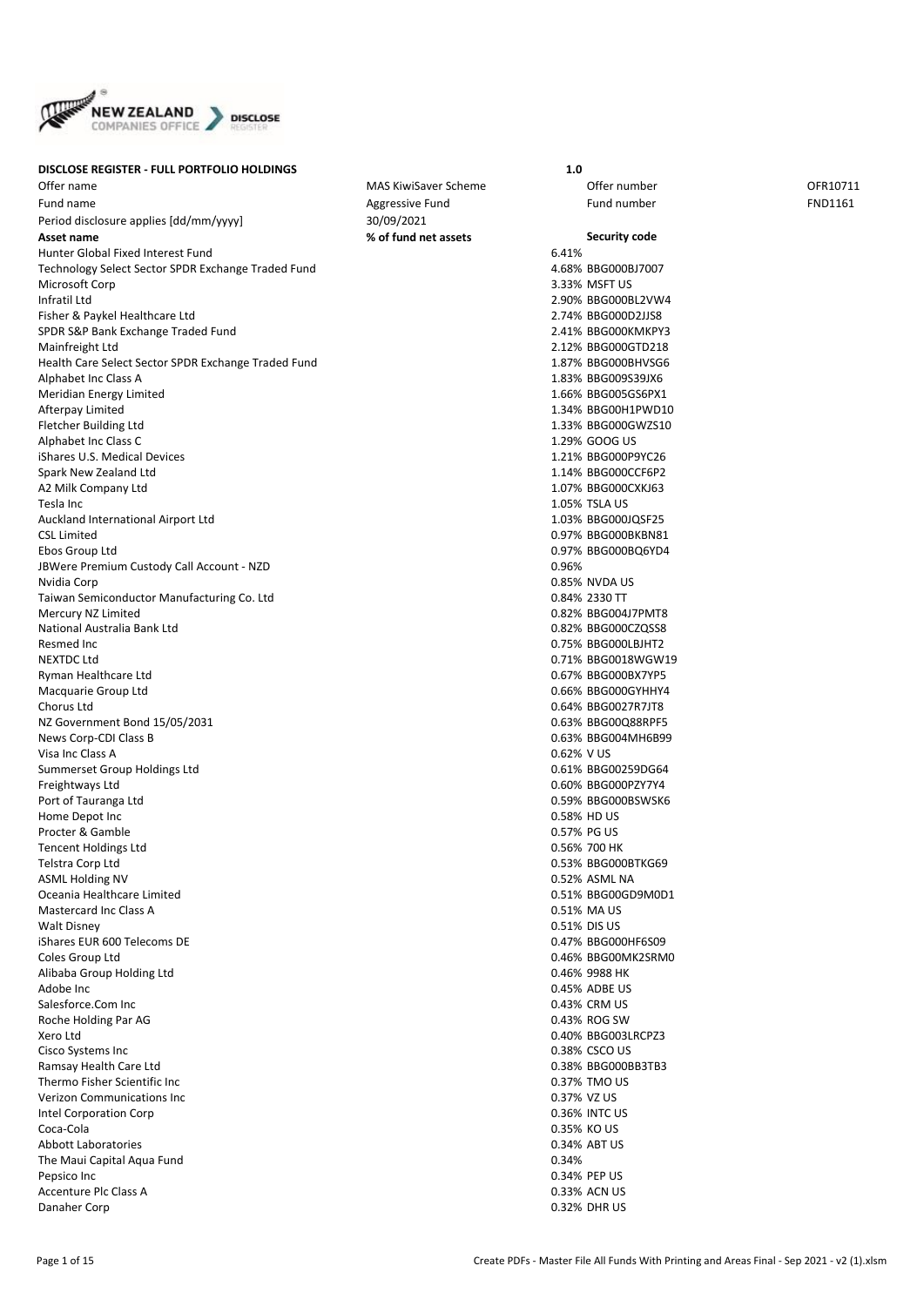

## **DISCLOSE REGISTER - FULL PORTFOLIO HOLDINGS 1.0**

Offer name The Community of the MAS KiwiSaver Scheme Community offer number offer number OFR10711 Fund name and the Community of the Aggressive Fund the Sequence of Fund number FND1161 Fund number FND1161 Period disclosure applies [dd/mm/yyyy] 30/09/2021 **Asset name % of fund net assets Security code** Hunter Global Fixed Interest Fund 6.41% Technology Select Sector SPDR Exchange Traded Fund<br>Microsoft Corp 3 33% MSFT US Microsoft Corp 3.33% MSFT US Infratil Ltd 2.90% BBG000BL2VW4 Fisher & Paykel Healthcare Ltd<br>
SPDR S&P Bank Exchange Traded Fund<br>
2.41% BBG000KMKPY3 SPDR S&P Bank Exchange Traded Fund Mainfreight Ltd<br>
Health Care Select Sector SPDR Exchange Traded Fund<br>
2.12% BBG000BHVSG6 Health Care Select Sector SPDR Exchange Traded Fund Alphabet Inc Class A 1.83% BBG009S39JX6 Meridian Energy Limited **1.66% BBG005GS6PX1** Afterpay Limited 1.34% BBG00H1PWD10 Fletcher Building Ltd 1.33% BBG000GWZS10 Alphabet Inc Class C 1.29% GOOG US iShares U.S. Medical Devices 1.21% BBG000P9YC26 Spark New Zealand Ltd 1.14% BBG000CCF6P2 A2 Milk Company Ltd 1.07% BBG000CXKJ63 Tesla Inc 1.05% TSLA US<br>Auckland International Airport Ltd 1.05% TSLA US 1.05% TSLA US<br>Auckland International Airport Ltd Auckland International Airport Ltd CSL Limited 0.97% BBG000BKBN81 Ebos Group Ltd 0.97% BBG000BQ6YD4 JBWere Premium Custody Call Account - NZD 0.96% Nvidia Corp 0.85% NVDA US Taiwan Semiconductor Manufacturing Co. Ltd 0.84% 2330 TT Mercury NZ Limited **0.82% BBG004J7PMT8** National Australia Bank Ltd 0.82% BBG000CZQSS8 Resmed Inc 0.75% BBG000LBJHT2 NEXTDC Ltd 0.71% BBG0018WGW19 Ryman Healthcare Ltd 0.67% BBG000BX7YP5 Macquarie Group Ltd 0.66% BBG000GYHHY4 Chorus Ltd 0.64% BBG0027R7JT8 NZ Government Bond 15/05/2031 News Corp-CDI Class B<br>
Visa Inc Class A 0.62% V US<br>
20.62% V US Visa Inc Class A. Summerset Group Holdings Ltd 0.61% BBG00259DG64 Freightways Ltd 0.60% BBG000PZY7Y4 Port of Tauranga Ltd **0.59% BBG000BSWSK6** Home Depot Inc 0.58% HD US Procter & Gamble 0.57% PG US Tencent Holdings Ltd 0.56% 700 HK Telstra Corp Ltd 0.53% BBG000BTKG69 ASML Holding NV 0.52% ASML NA Oceania Healthcare Limited 0.51% BBG00GD9M0D1 Mastercard Inc Class A 0.51% MA US Walt Disney 0.51% DIS US iShares EUR 600 Telecoms DE Coles Group Ltd 0.46% BBG00MK2SRM0 Alibaba Group Holding Ltd 0.46% 9988 HK Adobe Inc **Adobe Inc** 2.45% ADBE US Salesforce.Com Inc 0.43% CRM US Roche Holding Par AG 0.43% ROG SW Xero Ltd 0.40% BBG003LRCPZ3 Cisco Systems Inc 0.38% CSCO US Ramsay Health Care Ltd 0.38% BBG000BB3TB3 Thermo Fisher Scientific Inc 0.37% TMO US Verizon Communications Inc 0.37% VZ US Intel Corporation Corp 0.36% INTC US Coca-Cola 0.35% KO US Abbott Laboratories 0.34% ABT US The Maui Capital Aqua Fund 0.34% and 0.34% and 0.34% and 0.34% and 0.34% and 0.34% and 0.34% Pepsico Inc 0.34% PEP US Accenture Plc Class A 0.33% ACN US Danaher Corp 0.32% DHR US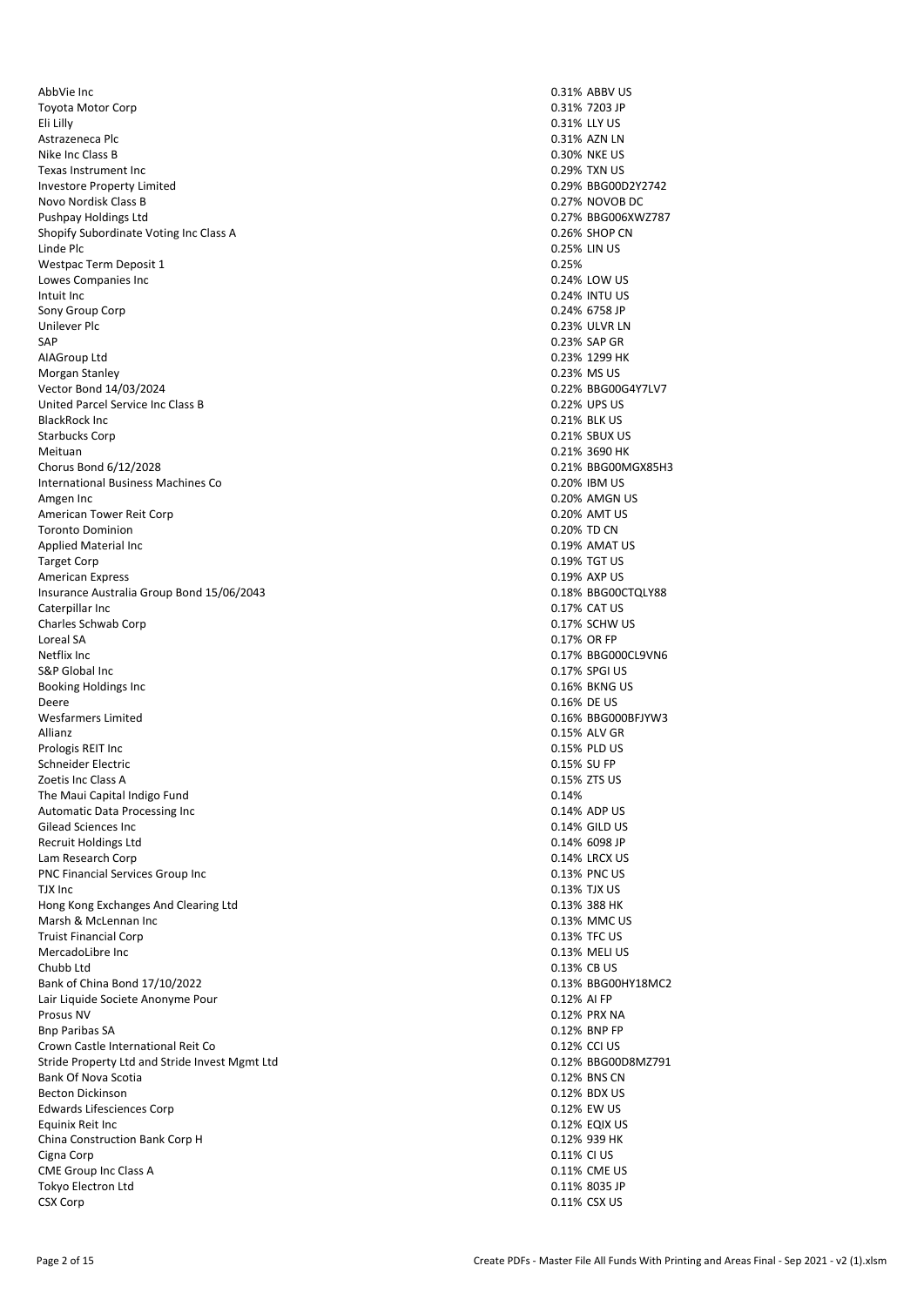AbbVie Inc 0.31% ABBV US Toyota Motor Corp 0.31% 7203 JP Eli Lilly 0.31% LLY US Astrazeneca Plc 0.31% AZN LN Nike Inc Class B 0.30% NKE US and the US and the US are set of the US and the US and the US are set of the US and the US are set of the US and the US are set of the US and the US are set of the US and the US are set of the Texas Instrument Inc **1.29% TXN US** 1.29% TXN US Investore Property Limited and Communication of the University of the University of the University of the Univ<br>
In a communication of the University of the University of the University of the University of the University o Novo Nordisk Class B. Pushpay Holdings Ltd<br>
Pushpay Holdings Ltd<br>
Shonify Subordinate Voting Inc Class A<br>
O 26% SHOP CN Shopify Subordinate Voting Inc Class A Linde Plc **Contract Contract Contract Contract Contract Contract Contract Contract Contract Contract Contract Contract Contract Contract Contract Contract Contract Contract Contract Contract Contract Contract Contract Cont** Westpac Term Deposit 1 and 2008 and 2009 and 2009 and 2009 and 2009 and 2009 and 2009 and 2009 and 2009 and 20<br>
University Companies Inc 2009 and 2009 and 2009 and 2009 and 2009 and 2009 and 2009 and 2009 and 2009 and 200 Lowes Companies Inc. Intuit Inc 0.24% INTU US Sony Group Corp 0.24% 6758 JP Unilever Plc 0.23% ULVR LN 0.23% ULVR LN 0.23% ULVR LN 0.23% ULVR LN 0.23% ULVR LN 0.23% ULVR LN 0.23% ULVR LN SAP 0.23% SAP GR AIAGroup Ltd 0.23% 1299 HK Morgan Stanley 2008 0.23% MS US Vector Bond 14/03/2024 **Decision 12/03/2024** 0.22% BBG00G4Y7LV7<br>
United Parcel Service Inc Class B United Parcel Service Inc Class B. BlackRock Inc 0.21% BLK US Starbucks Corp 0.21% SBUX US Meituan 0.21% 3690 HK Chorus Bond 6/12/2028 **0.21% BBG00MGX85H3**<br>
International Business Machines Co **China Business Machines Co Canadian Business Machines Co Canadian Business Machines Co** International Business Machines Co. Amgen Inc 0.20% AMGN US American Tower Reit Corp **0.20% AMT US** Toronto Dominion **0.20% TD CN** Applied Material Inc **All and Secure 2.19% AMAT US** 4.19% AMAT US Target Corp 0.19% To the US of the US of the US of the US of the US of the US of the US of the US of the US of the US of the US of the US of the US of the US of the US of the US of the US of the US of the US of the US of t American Express 0.19% AXP US Insurance Australia Group Bond 15/06/2043 **0.18% BBG00CTQLY88** Caterpillar Inc (2017) 2017 (2018) 2017 2018 2019 2017 2018 2019 2017 2018 2019 2017 2018 2019 2017 2018 2019<br>Charles Schwab Corp (2017) 2017 2018 2019 2017 2018 2019 2017 2018 2019 2017 2018 2019 2017 2018 2019 2019 20 Charles Schwab Corp Loreal SA 0.17% OR FP Netflix Inc 0.17% BBG000CL9VN6 Booking Holdings Inc 6.16% BKNG US and the US of the US of the US of the US of the US of the US of the US of the US of the US of the US of the US of the US of the US of the US of the US of the US of the US of the US of the Deere 0.16% DE US Wesfarmers Limited **0.16% BBG000BFJYW3** Allianz 0.15% ALV GR Prologis REIT Inc 0.15% PLD US Schneider Electric 0.15% SU FP Zoetis Inc Class A 0.15% ZTS US The Maui Capital Indigo Fund<br>
Automatic Data Processing Inc<br>
20.14% ADP US Automatic Data Processing Inc<br>
Gilead Sciences Inc 0.14% ADP US<br>
Gilead Sciences Inc Gilead Sciences Inc. Recruit Holdings Ltd **0.14% 6098 JP** 0.14% 6098 JP Lam Research Corp 0.14% LRCX US PNC Financial Services Group Inc 0.13% PNC US TJX Inc 0.13% TJX US<br>
Hong Kong Exchanges And Clearing Ltd 0.13% TV US Hong Kong Exchanges And Clearing Ltd Marsh & McLennan Inc **Marsh & McLennan Inc** 0.13% MMC US Truist Financial Corp **0.13% TFC US** 0.13% TFC US MercadoLibre Inc 0.13% MELI US Chubb Ltd 0.13% CB US Bank of China Bond 17/10/2022 **0.13% BBG00HY18MC2** Lair Liquide Societe Anonyme Pour 0.12% AI FP Prosus NV 0.12% PRX NA Bnp Paribas SA 0.12% BNP FP Crown Castle International Reit Co **0.12% CCI US** 0.12% CCI US Stride Property Ltd and Stride Invest Mgmt Ltd 0.12% BCOODSMZ791<br>
Bank Of Nova Scotia 0.12% BBG00D8MZ791 Bank Of Nova Scotia and the Scotia control of the Scotia control of the Scotia control of the Scotia control of the Scotia control of the Scotia control of the Scotia control of the Scotia control of the Scotia control of Becton Dickinson Edwards Lifesciences Corp 0.12% EW US Equinix Reit Inc 0.12% EQIX US China Construction Bank Corp H 0.12% 939 HK Cigna Corp 0.11% CI US CME Group Inc Class A 0.11% CME US Tokyo Electron Ltd **0.11% 8035 JP** 0.11% 8035 JP CSX Corp 0.11% CSX US

0.17% SPGI US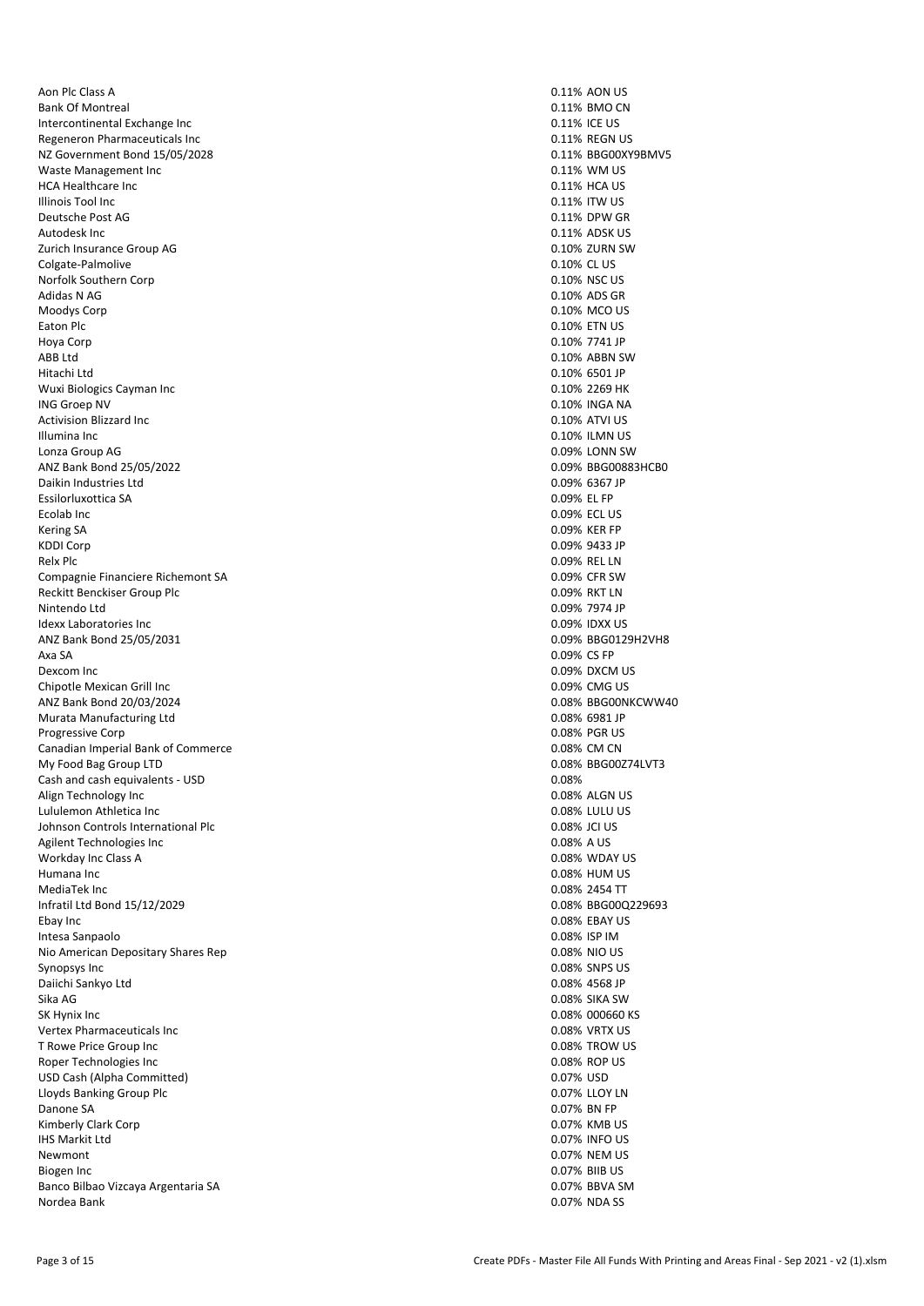Aon Plc Class A 0.11% AON US Bank Of Montreal 0.11% BMO CN 0.11% BMO CN Intercontinental Exchange Inc 0.11% ICE US Regeneron Pharmaceuticals Inc 0.11% REGN US NZ Government Bond 15/05/2028 0.11% BBG00XY9BMV5 Waste Management Inc **0.11% WM US** 0.11% WM US HCA Healthcare Inc 0.11% HCA US and the US and the US and the US and the US and the US and the US and the US and the US and the US and the US and the US and the US and the US and the US and the US and the US and the US and **Illinois Tool Inc.** Deutsche Post AG 0.11% DPW GR 4.11% DPW GR 4.11% DPW GR 4.11% DPW GR 4.11% DPW GR 4.11% DPW GR 4.11% DPW GR 4.1 Autodesk Inc 0.11% ADSK US Zurich Insurance Group AG 0.10% ZURN SW Colgate-Palmolive 0.10% CL US Norfolk Southern Corp Adidas N AG 0.10% ADS GR 0.10% ADS GR 0.10% ADS GR 0.10% ADS GR 0.10% ADS GR 0.10% ADS GR 0.10% ADS GR 0.10% ADS GR 0.10% ADS GR 0.10% ADS GR 0.10% ADS GR 0.10% ADS GR 0.10% ADS GR 0.10% ADS GR 0.10% ADS GR 0.10% ADS GR 0. Moodys Corp **0.10% MCO US** Eaton Plc 0.10% ETN US Hoya Corp 0.10% 7741 JP ABB Ltd 0.10% ABBN SW Hitachi Ltd<br>
Wuxi Biologics Cayman Inc<br>
Wuxi Biologics Cayman Inc Wuxi Biologics Cayman Inc ING Groep NV 0.10% INGA NA Activision Blizzard Inc **0.10% ATVI US** 0.10% ATVI US Illumina Inc 0.10% ILMN US Lonza Group AG 0.09% LONN SW ANZ Bank Bond 25/05/2022<br>
Daikin Industries Ltd<br>
Daikin Industries Ltd Daikin Industries Ltd Essilorluxottica SA 0.09% EL FP Ecolab Inc 0.09% ECL US Kering SA 0.09% KER FP<br>KDDI Corp 0.09% ASS 0.09% ASS 0.09% ASS 0.09% ASS 0.09% ASS 0.09% ASS 0.09% ASS 0.09% ASS 0.09% ASS 0.09% ASS 0 KDDI Corp 0.09% 9433 JP Relx Plc 0.09% REL LN Compagnie Financiere Richemont SA 0.09% CFR SW Reckitt Benckiser Group Plc **Contract Contract Contract Contract Contract Contract Contract Contract Contract Contract Contract Contract Contract Contract Contract Contract Contract Contract Contract Contract Contract Cont** Nintendo Ltd 0.09% 7974 JP Idexx Laboratories Inc. ANZ Bank Bond 25/05/2031 0.09% BBG0129H2VH8 Axa SA 0.09% CS FP Dexcom Inc 0.09% DXCM US Chipotle Mexican Grill Inc<br>
ANZ Bank Bond 20/03/2024<br>
ANZ Bank Bond 20/03/2024 ANZ Bank Bond 20/03/2024 Murata Manufacturing Ltd **0.08% 6981 JP** 0.08% 6981 JP Progressive Corp 2008 PGR US 2008 PGR US 2008 PGR US 2008 PGR US 2008 PGR US 2008 PGR US 2009 PGR US 2009 PGR US 2010 PGR US 2010 PGR US 2010 PGR US 2010 PGR US 2010 PGR US 2010 PGR US 2010 PGR US 2010 PGR US 2010 PGR US 2 Canadian Imperial Bank of Commerce 0.08% CM CN My Food Bag Group LTD 6.08% BBG00Z74LVT3 Cash and cash equivalents - USD 0.08% Align Technology Inc and the state of the state of the state of the state of the 10.08% ALGN US and the state of the 10.08% ALGN US and the state of the 10.08% ALGN US and the state of the 10.08% LULU US and the state of t Lululemon Athletica Inc<br>
1990.08% LULU US<br>
1990.08% LULU US - 0.08% LULU US - 0.08% LULU US - 0.08% LULU US - 0.08% LULU US Johnson Controls International Plc Agilent Technologies Inc **Agilent** Technologies Inc Workday Inc Class A 0.08% WDAY US Humana Inc 0.08% HUM US MediaTek Inc 0.08% 2454 TT Infratil Ltd Bond 15/12/2029 0.08% BBG00Q229693 Ebay Inc 0.08% EBAY US Intesa Sanpaolo 0.08% ISP IM Nio American Depositary Shares Rep 0.08% NIO US Synopsys Inc 0.08% SNPS US Daiichi Sankyo Ltd 0.08% 4568 JP Sika AG 0.08% SIKA SW SK Hynix Inc 0.08% 000660 KS Vertex Pharmaceuticals Inc 0.08% VRTX US T Rowe Price Group Inc. Roper Technologies Inc 0.08% ROP US USD Cash (Alpha Committed) and the committed of the committed of the committed of the committed of the committed of the committed of the committed of the committed of the committed of the committed of the committed of the Lloyds Banking Group Plc Danone SA 0.07% BN FP Kimberly Clark Corp 0.07% KMB US IHS Markit Ltd 0.07% INFO US Newmont 0.07% NEM US Biogen Inc 0.07% BIIB US Banco Bilbao Vizcaya Argentaria SA 0.07% BBVA SM Nordea Bank 0.07% NDA SS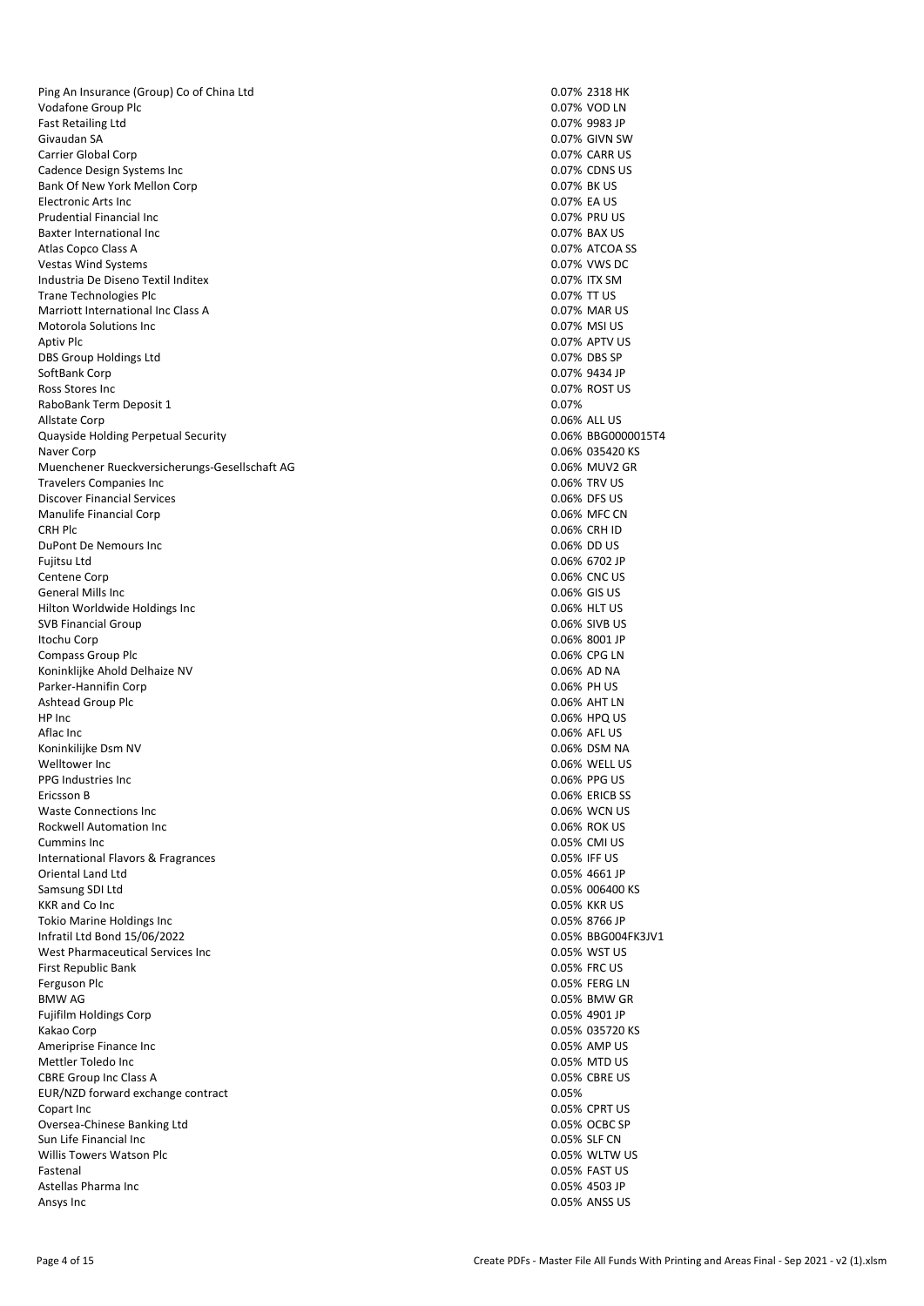Ping An Insurance (Group) Co of China Ltd 0.07% 2318 HK Vodafone Group Plc 0.07% VOD LN 0.07% VOD LN Fast Retailing Ltd 0.07% 9983 JP Givaudan SA 0.07% GIVN SW Carrier Global Corp 0.07% CARR US Cadence Design Systems Inc 0.07% CDNS US Bank Of New York Mellon Corp 0.07% BK US<br>Electronic Arts Inc 0.07% BK US Electronic Arts Inc. Prudential Financial Inc 0.07% PRU US Baxter International Inc 6.07% BAX US of the David Control of the David Control of the David Control of the David Control of the David Control of the David Control of the David Control of the David Control of the David Con Atlas Copco Class A Vestas Wind Systems and Systems and Systems and Systems and Systems and Systems and Systems and Systems and Systems and Systems and Systems and Systems and Systems and Systems and Systems and Systems and Systems and System Industria De Diseno Textil Inditex Trane Technologies Plc **Contract Contract Contract Contract Contract Contract Contract Contract Contract Contract Contract Contract Contract Contract Contract Contract Contract Contract Contract Contract Contract Contract** Marriott International Inc Class A 0.07% MAR US Motorola Solutions Inc 0.07% MSI US Aptiv Plc 0.07% APTV US DBS Group Holdings Ltd 0.07% DBS SP SoftBank Corp 0.07% 9434 JP Ross Stores Inc 0.07% ROST US RaboBank Term Deposit 1 and 2007% and 2007% and 2007% and 2007% and 2007% and 2007% Allstate Corp 0.06% ALL US Quayside Holding Perpetual Security 0.06% BBG0000015T4 Naver Corp 0.06% 035420 KS Muenchener Rueckversicherungs-Gesellschaft AG<br>
Travelers Companies Inc<br>
0.06% TRV US Travelers Companies Inc. Discover Financial Services 0.06% DFS US Manulife Financial Corp **0.06%** MFC CN CRH Plc 0.06% CRH ID DuPont De Nemours Inc 0.06% DD US Fujitsu Ltd 0.06% 6702 JP Centene Corp 0.06% CNC US General Mills Inc 0.06% GIS US Hilton Worldwide Holdings Inc<br>
SVB Financial Group<br>
O.06% SIVB US SVB Financial Group Itochu Corp 0.06% 8001 JP Compass Group Plc and Delhaize NV and Delhaize NV and Delhaize NV and Delhaize NV and Delhaize NV and Delhaize NV and Delhaize NV and Delhaize NV and Delhaize NV and Delhaize NV and Delhaize NV and Delhaize NV and Delhaize Koninklijke Ahold Delhaize NV Parker-Hannifin Corp 0.06% PH US Ashtead Group Plc HP Inc 0.06% HPQ US Aflac Inc 0.06% AFL US Koninkilijke Dsm NV 0.06% DSM NA Welltower Inc 0.06% WELL US PPG Industries Inc 0.06% PPG US Ericsson B<br>
Waste Connections Inc Waste Connections Inc<br>
Rockwell Automation Inc Rockwell Automation Inc. Cummins Inc 0.05% CMI US International Flavors & Fragrances 0.05% IFF US Oriental Land Ltd **0.05% 4661 JP** 0.05% 4661 JP Samsung SDI Ltd 0.05% 006400 KS KKR and Co Inc. Tokio Marine Holdings Inc 0.05% 8766 JP Infratil Ltd Bond 15/06/2022 0.05% BBG004FK3JV1 West Pharmaceutical Services Inc 0.05% WST US First Republic Bank 0.05% FRC US Ferguson Plc 0.05% FERG LN BMW AG 0.05% BMW GR Fujifilm Holdings Corp 0.05% 4901 JP Kakao Corp 0.05% 035720 KS Ameriprise Finance Inc. Mettler Toledo Inc<br>
CBRE Group Inc Class A<br>
O.05% CBRE US CBRE Group Inc Class A 0.05% CBRE Group Inc Class A 0.05% CBRE USE ON THE USE OF THE USE OF THE USE OF THE USE OF THE USE OF THE USE OF THE USE OF THE USE OF THE USE OF THE USE OF THE USE OF THE USE OF THE USE OF THE USE O EUR/NZD forward exchange contract Copart Inc 0.05% CPRT US Oversea-Chinese Banking Ltd 0.05% OCBC SP Sun Life Financial Inc **0.05%** SLF CN Willis Towers Watson Plc 0.05% WLTW US Fastenal 0.05% FAST US Astellas Pharma Inc 0.05% 4503 JP Ansys Inc 0.05% ANSS US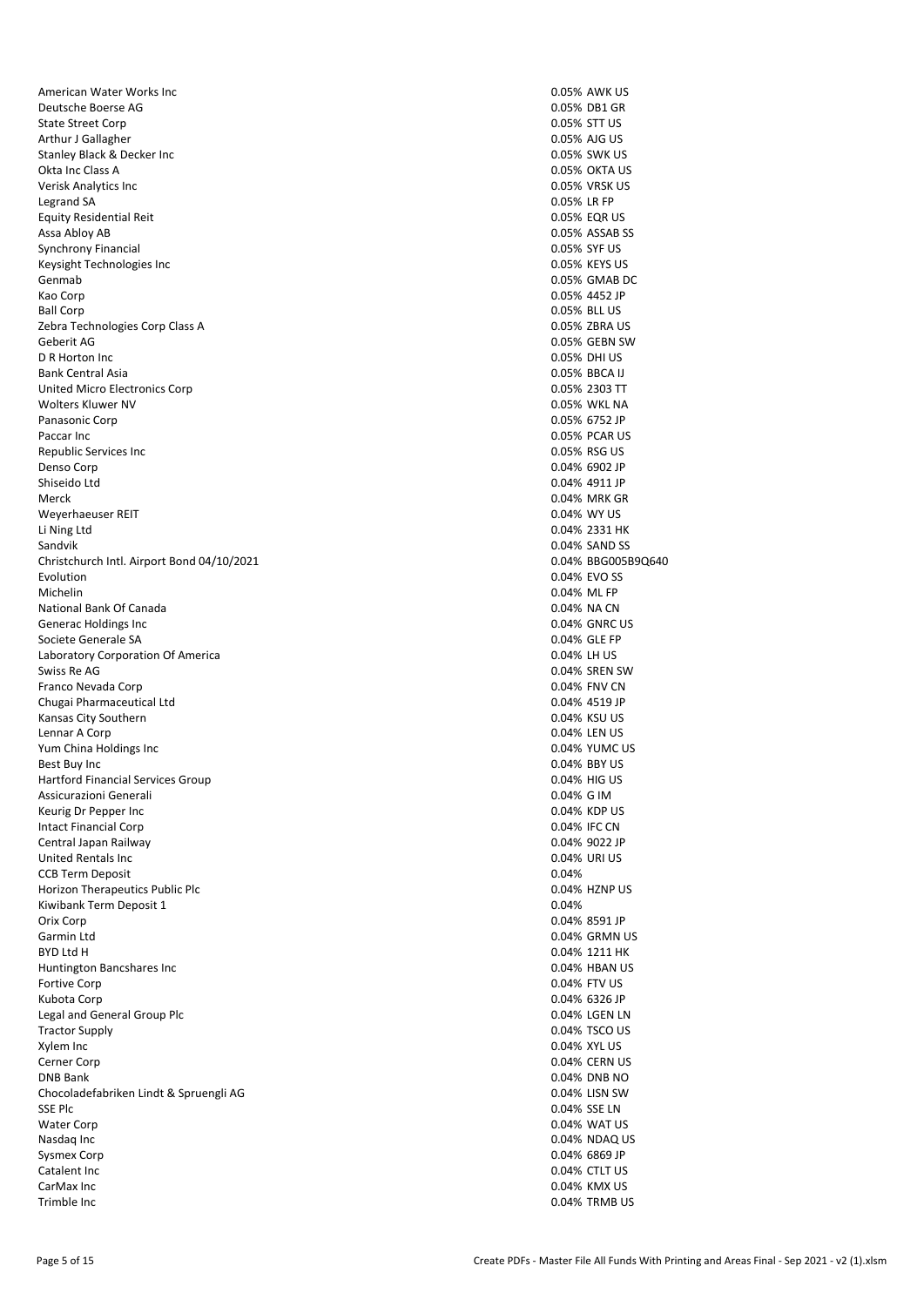American Water Works Inc 0.05% AWK US Deutsche Boerse AG 0.05% DB1 GR State Street Corp 3. The State Street Corp 3. The State Street Corp 3. The State Street Corp 3. The State Street Corp 3. The State Street Corp 3. The State Street Corp 3. The State Street Corp 3. The State Street Corp 3. T Arthur J Gallagher **0.05% AJG US** and the control of the control of the control of the control of the control of the control of the control of the control of the control of the control of the control of the control of the Stanley Black & Decker Inc 0.05% SWK US Okta Inc Class A 0.05% OKTA US Verisk Analytics Inc<br>
1992 - Legrand SA (1993) 1993 - Conservation of the US of the US of the US of the US of the US of the US of the US of the US of the US of the US of the US of the US of the US of the US of the US of th Legrand SA 0.05% LR FP Equity Residential Reit 0.05% EQR US Assa Abloy AB 0.05% ASSAB SS 30 ASSAB SS 30 ASSAB SS 3 ASSAB SS 45 ASSAB SS 4 ASSAB SS 4 ASSAB SS 4 ASSAB SS 4<br>
A 10.05% SYF US Synchrony Financial Keysight Technologies Inc 0.05% KEYS US Genmab 0.05% GMAB DC Kao Corp 0.05% 4452 JP Ball Corp 0.05% BLL US Zebra Technologies Corp Class A 0.05% ZBRA US Geberit AG 0.05% GEBN SW D R Horton Inc 0.05% DHI US Bank Central Asia 0.05% BBCA IJ United Micro Electronics Corp 6.05% 2303 TT United Micro Electronics Corp 0.05% 2303 TT United Micro Electronics Corp 0.05% 2303 TT UNITED 0.05% 2303 TT Wolters Kluwer NV Panasonic Corp 0.05% 6752 JP Paccar Inc 2008 PCAR US 2009 PO 2009 PCAR US 2009 PCAR US 2009 PCAR US 2009 PCAR US 2009 PCAR US 2009 PCAR US 2009 PCAR US 2009 PCAR US 2009 PCAR US 2009 PCAR US 2009 PCAR US 2009 PCAR US 2009 PCAR US 2009 PCAR US 2009 PCA Republic Services Inc **Network Constructs** Construction of the US Associated Construction of the US Associated Construction of the US Associated Construction of the US Associated Construction of the US Associated Construct Denso Corp 0.04% 6902 JP Shiseido Ltd 0.04% 4911 JP Merck 0.04% MRK GR Weyerhaeuser REIT 0.04% WY US Li Ning Ltd 0.04% 2331 HK Sandvik 0.04% SAND SS Christchurch Intl. Airport Bond 04/10/2021 0.04% BBG005B9Q640 Evolution 0.04% EVO SS Michelin 0.04% ML FP National Bank Of Canada 0.04% NA CN Generac Holdings Inc. Societe Generale SA 0.04% GLE FP Laboratory Corporation Of America **0.04% LH US**<br>
Swiss Re AG 0.04% SREN Franco Nevada Corp 0.04% FNV CN Chugai Pharmaceutical Ltd Kansas City Southern 0.04% KSU US Lennar A Corp **0.04% LEN US** Yum China Holdings Inc 0.04% YUMC US Best Buy Inc 2008 2012 12:00:00 0.04% BBY US 2012 12:00:00 0.04% BBY US 20:00:00 0.04% BBY US 20:00:00 0.04% BBY US Hartford Financial Services Group 0.04% Highly 0.04% Highly 0.04% Highly 0.04% Highly 0.04% Highly 0.04% Highly Assicurazioni Generali 0.04% G IM Keurig Dr Pepper Inc 0.04% KDP US Intact Financial Corp Central Japan Railway 0.04% 9022 JP United Rentals Inc **0.04% URI US** and 0.04% URI US CCB Term Deposit 0.04% and the contract of the contract of the contract of the contract of the contract of the contract of the contract of the contract of the contract of the contract of the contract of the contract of the Horizon Therapeutics Public Plc 0.04% HZNP US<br>
Kiwibank Term Deposit 1 (0.04% HZNP US Kiwibank Term Deposit 1 Orix Corp 0.04% 8591 JP Garmin Ltd 0.04% GRMN US BYD Ltd H 0.04% 1211 HK Huntington Bancshares Inc 0.04% HBAN US Fortive Corp 2004 Fortive Corp 2004 Fortive Corp 2004 FTV US Kubota Corp 0.04% 6326 JP Legal and General Group Plc 0.04% LGEN LN Tractor Supply 0.04% TSCO US Xylem Inc **2.04% XYL US** 2.04% XYL US Cerner Corp 2004 CERN US 2004 CERN US 2004 CERN US 2004 CERN US 2004 CERN US 2004 CERN US 2004 CERN US 2006 CERN US 2006 CERN US 2006 CERN US 2006 CERN US 2006 CERN US 2006 CERN US 2006 CERN US 2006 CERN US 2006 CERN US 20 DNB Bank 0.04% DNB NO Chocoladefabriken Lindt & Spruengli AG 0.04% LISN SW SSE Plc **0.04% SSE LN** 0.04% SSE LN Water Corp 0.04% WAT US Nasdaq Inc 6.04% NDAQ US (1.06) Notes to the control of the control of the control of the control of the control of the control of the control of the control of the control of the control of the control of the control of t Sysmex Corp 0.04% 6869 JP Catalent Inc 0.04% CTLT US CarMax Inc 0.04% KMX US Trimble Inc 0.04% TRMB US

0.04% SREN SW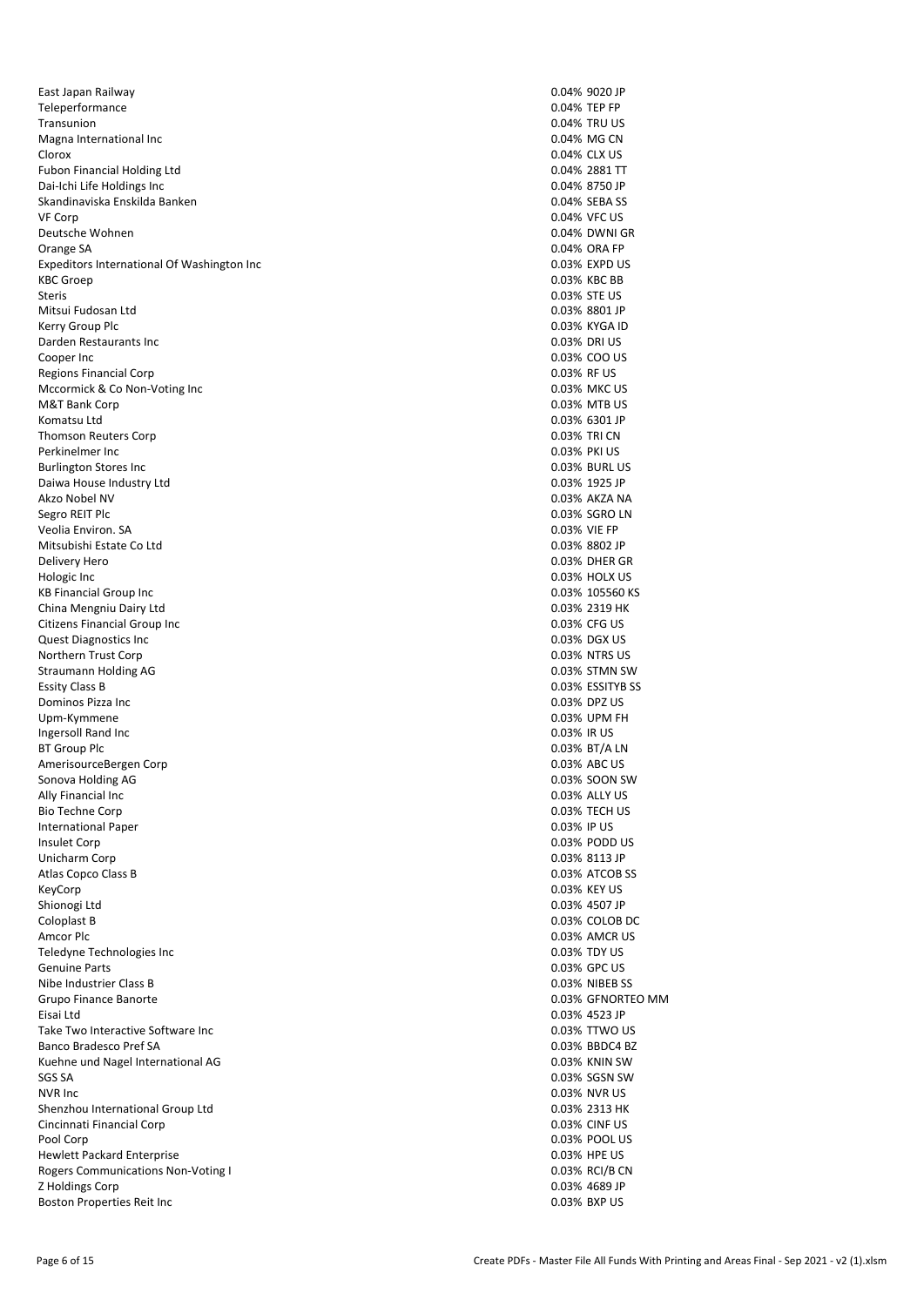East Japan Railway 0.04% 9020 JP Teleperformance 0.04% TEP FP 7ransunion 0.04% TEP FP 7ransunion 0.04% TEP FP 7ransunion 0.04% TRU US Transunion 0.04% TRU US Magna International Inc **Magna International Inc** 0.04% MG CN Clorox 0.04% CLX US Fubon Financial Holding Ltd 0.04% 2881 TT Dai-Ichi Life Holdings Inc 0.04% 8750 JP Skandinaviska Enskilda Banken VF Corp 0.04% VFC US Deutsche Wohnen Orange SA 0.04% ORA FP Expeditors International Of Washington Inc 6.03% EXPD US 6.03% EXPD US<br>
KBC Groep 0.03% KBC BB Steris 0.03% STE US Mitsui Fudosan Ltd 0.03% 8801 JP Kerry Group Plc 0.03% KYGA ID Darden Restaurants Inc 0.03% DRI US Cooper Inc 0.03% COO US Regions Financial Corp **1.1 Studies 1.1 Studies 2.1 Studies 2.1 Studies 2.1 Studies 2.1 Studies 2.1 Studies 2.1 Studies 2.1 Studies 2.1 Studies 2.1 Studies 2.1 Studies 2.1 Studies 2.1 Studies 2.1 Studies 2.1 Studies 2.1 St** Mccormick & Co Non-Voting Inc<br>
M&T Bank Corp<br>
0.03% MTB US M&T Bank Corp Komatsu Ltd 0.03% 6301 JP Thomson Reuters Corp **0.03% TRI CN** Perkinelmer Inc 0.03% PKI US Burlington Stores Inc<br>
Daiwa House Industry Ltd<br>
Daiwa House Industry Ltd Daiwa House Industry Ltd Akzo Nobel NV 0.03% AKZA NA Segro REIT Plc 0.03% SGRO LN Veolia Environ. SA 0.03% VIE FP Mitsubishi Estate Co Ltd 0.03% 8802 JP Delivery Hero 0.03% DHER GR Hologic Inc 0.03% HOLX US KB Financial Group Inc 0.03% 105560 KS China Mengniu Dairy Ltd<br>
Citizens Financial Group Inc<br>
Citizens Financial Group Inc Citizens Financial Group Inc. Quest Diagnostics Inc **0.03% DGX US** 0.03% DGX US Northern Trust Corp 0.03% NTRS US Straumann Holding AG 0.03% STMN SW Essity Class B 0.03% ESSITYB SS 3.003% ESSITYB SS 3.003% ESSITYB SS 3.003% ESSITYB SS 3.003% ESSITYB SS 3.003% ESSITYB SS 3.003% ESSITYB SS 3.003% ESSITYB SS 3.003% ESSITYB SS 3.003% DPZ US Dominos Pizza Inc. Upm-Kymmene 0.03% UPM FH Ingersoll Rand Inc **0.03%** IR US BT Group Plc 0.03% BT/A LN AmerisourceBergen Corp 0.03% ABC US and the corp of the corp of the corp of the corp of the corp of the corp of the corp of the corp of the corp of the corp of the corp of the corp of the corp of the corp of the corp of th Sonova Holding AG 0.03% SOON SW Ally Financial Inc 0.03% ALLY US Bio Techne Corp 0.03% TECH US International Paper 0.03% IP US **Insulet Corp 0.03% PODD US** Unicharm Corp 0.03% 8113 JP Atlas Copco Class B 0.03% ATCOB SS KeyCorp 0.03% KEY US Shionogi Ltd **0.03% 4507 JP** 0.03% 4507 JP Coloplast B 0.03% COLOB DC Amcor Plc **Amcor Plc** 0.03% AMCR US Teledyne Technologies Inc 0.03% TDY US Genuine Parts 0.03% GPC US Nibe Industrier Class B 0.03% NIBEB SS Grupo Finance Banorte **0.03% GFNORTEO MM** Eisai Ltd 0.03% 4523 JP Take Two Interactive Software Inc 0.03% TTWO US Banco Bradesco Pref SA Kuehne und Nagel International AG 0.03% KNIN SW 6.03% KNIN SW 6.03% KNIN SW 6.03% KNIN SW 6.03% KNIN SW 6.03% KNIN SW 6.03% KNIN SW 6.03% KNIN SW 6.03% KNIN SW 6.03% KNIN SW 6.03% KNIN SW 6.03% KNIN SW 6.03% KNIN SW 6.03% SGS SA 0.03% SGSN SW NVR Inc 0.03% NVR US Shenzhou International Group Ltd 0.03% 2313 HK Cincinnati Financial Corp 0.03% CINF US Pool Corp 0.03% POOL US Hewlett Packard Enterprise **DESITE:** 0.03% HPE US Rogers Communications Non-Voting I and the communications Non-Voting I control to the control of the control of the control of the control of the control of the control of the control of the control of the control of the c Z Holdings Corp 0.03% 4689 JP Boston Properties Reit Inc.

0.03% KBC BB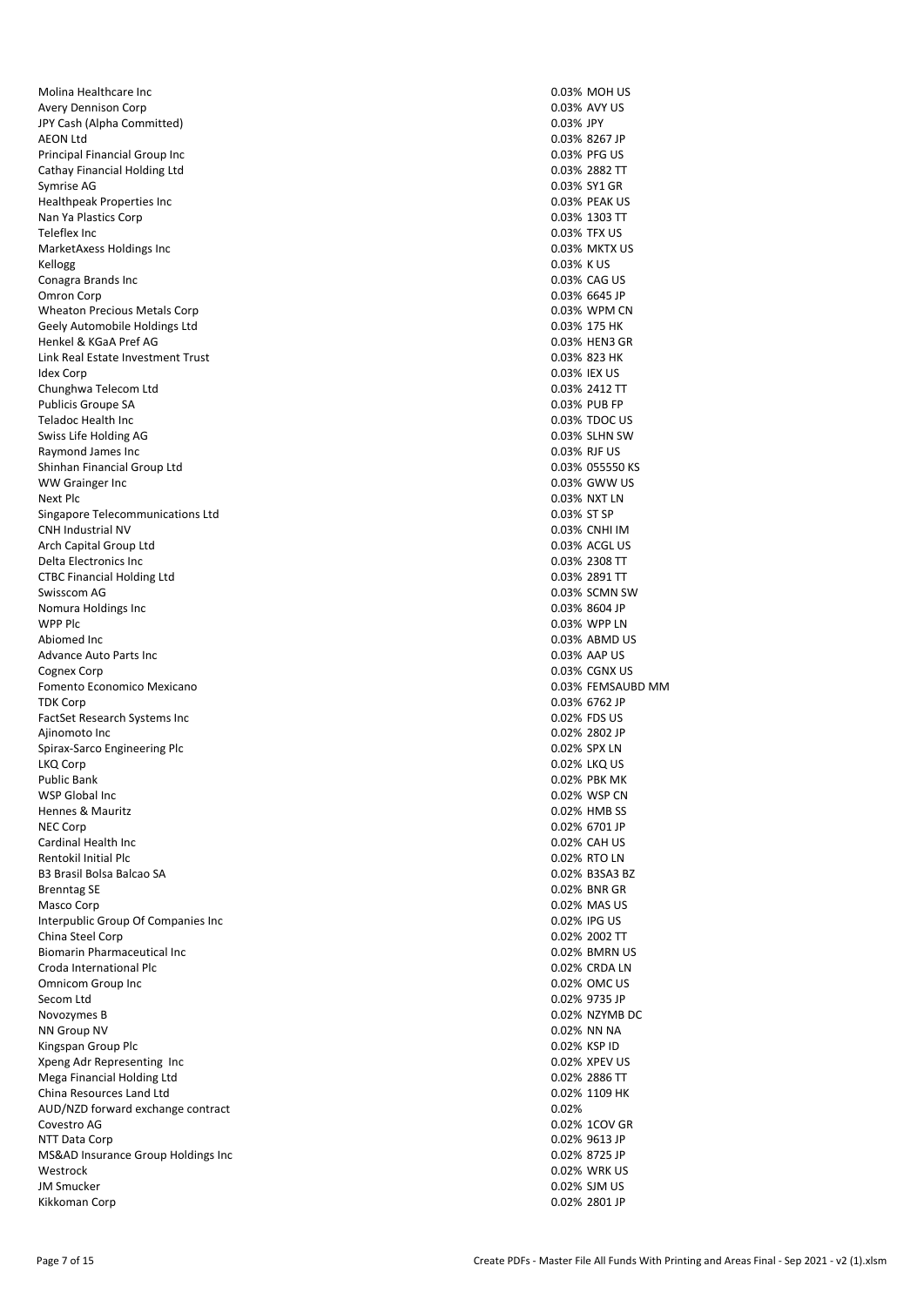Molina Healthcare Inc **Molina Healthcare Inc** 0.03% MOH US Avery Dennison Corp 0.03% AVY US JPY Cash (Alpha Committed) AEON Ltd 0.03% 8267 JP Principal Financial Group Inc 0.03% PFG US Cathay Financial Holding Ltd 0.03% 2882 TT Symrise AG 0.03% SY1 GR Healthpeak Properties Inc 0.03% PEAK US Nan Ya Plastics Corp 10.03% 1303 TT<br>Teleflex Inc 10.03% 1303 TT Teleflex Inc 0.03% TFX US MarketAxess Holdings Inc 0.03% MKTX US Kellogg 0.03% K US Conagra Brands Inc. Omron Corp 0.03% 6645 JP Wheaton Precious Metals Corp 0.03% WPM CN Geely Automobile Holdings Ltd 0.03% 175 HK Henkel & KGaA Pref AG 0.03% HEN3 GR Link Real Estate Investment Trust 0.03% 823 HK **Idex Corp 2.03% IEX US** Chunghwa Telecom Ltd<br>
Publicis Groupe SA and Communication of the Communication of the Communication of the Communication of the Communication of the Communication of the Communication of the Communication of the Communica Publicis Groupe SA Teladoc Health Inc 0.03% TDOC US Swiss Life Holding AG 0.03% SLHN SW Raymond James Inc 0.03% RJF US and 0.03% RJF US and 0.03% RJF US and 0.03% RJF US and 0.03% RJF US and 0.03% RJF US and 0.03% RJF US and 0.03% RJF US and 0.03% RJF US and 0.03% RJF US and 0.03% RJF US and 0.03% RJF US and Shinhan Financial Group Ltd<br>
WW Grainger Inc Computer of Computer Computer of Computer Computer Computer Computer Computer Computer Computer Computer Computer Computer Computer Computer Computer Computer Computer Computer WW Grainger Inc. Next Plc 0.03% NXT LN Singapore Telecommunications Ltd 0.03% ST SP CNH Industrial NV 0.03% CNHI IM Arch Capital Group Ltd **0.03% ACGL US** Delta Electronics Inc 0.03% 2308 TT CTBC Financial Holding Ltd 0.03% 2891 TT Swisscom AG 0.03% SCMN SW Nomura Holdings Inc<br>
WPP Plc 0.03% 8604 JP<br>
WPP Plc 0.03% WPP LN Abiomed Inc 0.03% ABMD US Advance Auto Parts Inc **Automatic Contract Contract Contract Contract Contract Contract Contract Contract Contract Contract Contract Contract Contract Contract Contract Contract Contract Contract Contract Contract Contract** Cognex Corp 0.03% CGNX US Fomento Economico Mexicano 0.03% FEMSAUBD MM<br>TDK Corp 0.03% 6762 JP FactSet Research Systems Inc 0.02% FDS US Ajinomoto Inc 0.02% 2802 JP Spirax-Sarco Engineering Plc 0.02% SPX LN LKQ Corp 0.02% LKQ US Public Bank 0.02% PBK MK WSP Global Inc <br>
May be a matrix of the contract of the contract of the contract of the contract of the contract of the contract of the contract of the contract of the contract of the contract of the contract of the contra Hennes & Mauritz and the control of the control of the control of the control of the control of the control of the control of the control of the control of the control of the control of the control of the control of the co NEC Corp 0.02% 6701 JP Cardinal Health Inc 0.02% CAH US Rentokil Initial Plc **0.02% RTO LN** B3 Brasil Bolsa Balcao SA 0.02% B3SA3 BZ Brenntag SE 0.02% BNR GR Masco Corp 0.02% MAS US Interpublic Group Of Companies Inc 0.02% IPG US China Steel Corp 0.02% 2002 TT Biomarin Pharmaceutical Inc<br>
Croda International Plc<br>
Croda International Plc Croda International Plc Omnicom Group Inc 0.02% OMC US Secom Ltd 0.02% 9735 JP Novozymes B 0.02% NZYMB DC NN Group NV 0.02% NN NA Kingspan Group Plc Xpeng Adr Representing Inc<br>
Mega Financial Holding Itd<br>
Mega Financial Holding Itd Mega Financial Holding Ltd<br>
China Resources Land Ltd<br>
China Resources Land Ltd China Resources Land Ltd AUD/NZD forward exchange contract 0.02% and 0.02% of the contract 0.02% of the contract 0.02% of the contract 0.02% of the contract 0.02% of the contract 0.02% of the contract 0.02% of the contract 0.02% of the contract 0. Covestro AG 0.02% 1COV GR NTT Data Corp 0.02% 9613 JP MS&AD Insurance Group Holdings Inc 0.02% 8725 JP Westrock 0.02% WRK US JM Smucker 0.02% SJM US Kikkoman Corp 0.02% 2801 JP

0.03% WPP LN 0.03% 6762 JP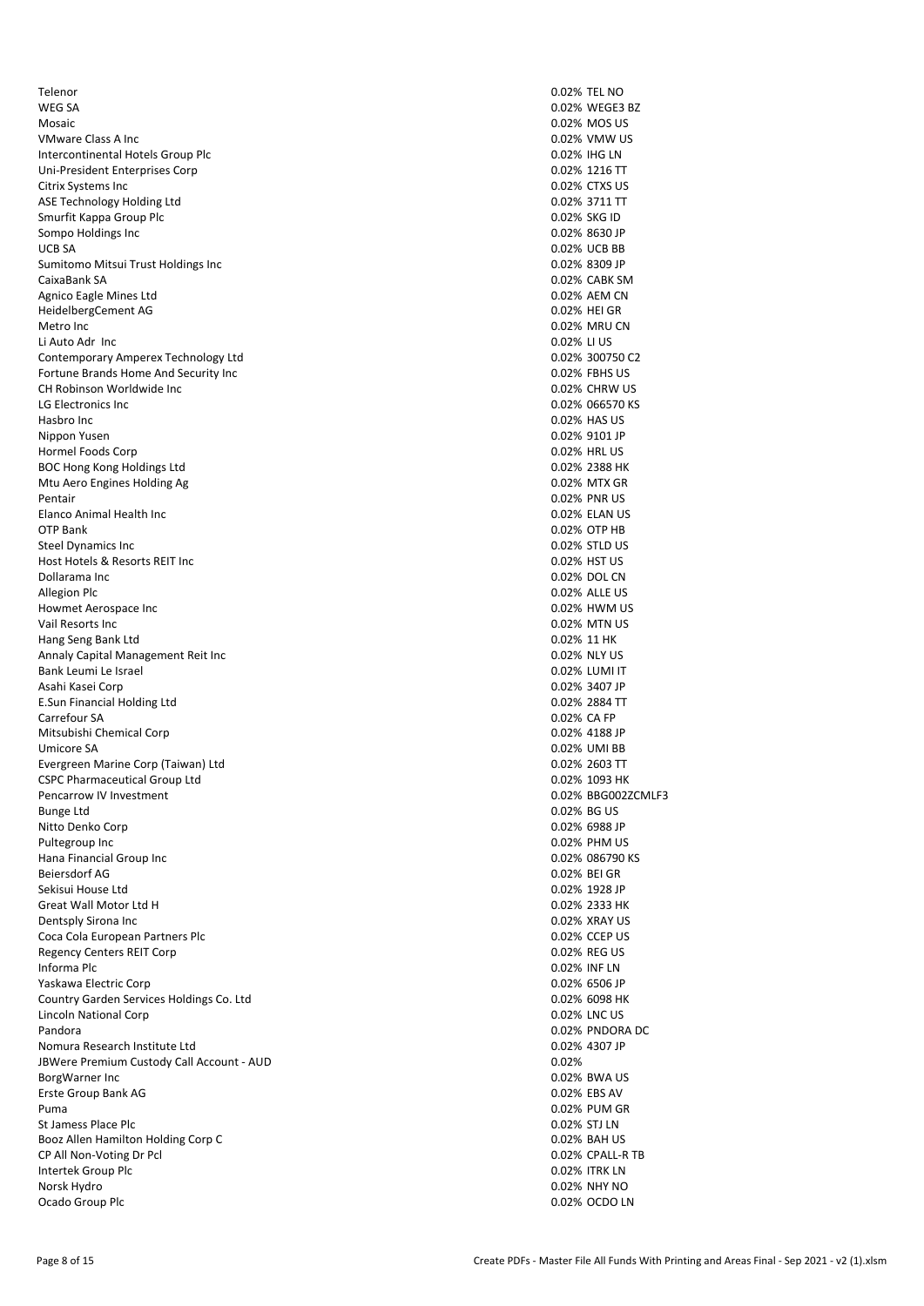Telenor 0.02% TEL NO WEG SA 3. 2002% WEGE3 BZ Mosaic 0.02% MOS US VMware Class A Inc 0.02% VMW US Intercontinental Hotels Group Plc 0.02% IHG LN Uni-President Enterprises Corp 0.02% 1216 TT Citrix Systems Inc 2002 2008 CTXS US and the US and the US and the US and the US and the US and the US and the US and the US and the US and the US and the US and the US and the US and the US and the US and the US and the U ASE Technology Holding Ltd Smurfit Kappa Group Plc **Community** CO2% SKG ID Sompo Holdings Inc and the UCB SA and the UCB SA and the UCB SA and the UCB SA and the UCB SA and the UCB SA and the UCB SA and the UCB SA and the UCB SA and the UCB SA and the UCB SB and the UCB SB and the UCB SB and the Sumitomo Mitsui Trust Holdings Inc 0.02% 8309 JP CaixaBank SA 0.02% CABK SM Agnico Eagle Mines Ltd **0.02% AEM CN** 0.02% AEM CN HeidelbergCement AG 0.02% HEI GR Metro Inc 0.02% MRU CN Li Auto Adr Inc 0.02% LI US Contemporary Amperex Technology Ltd 0.02% 300750 C2 Fortune Brands Home And Security Inc 0.02% FBHS US CH Robinson Worldwide Inc 2008 CHRW US 2009 CHRW US 2009 CHRW US 2009 CHRW US 2009 CHRW US 2009 CHRW US 2009 CHRW US<br>CLG Electronics Inc LG Electronics Inc Hasbro Inc 0.02% HAS US Nippon Yusen 0.02% 9101 JP Hormel Foods Corp 0.02% HRL US BOC Hong Kong Holdings Ltd<br>
Mtu Aero Engines Holding Ag<br>
Mtu Aero Engines Holding Ag Mtu Aero Engines Holding Ag Pentair **Designation of the Contract of Contract Contract of Contract Contract Contract OCO2% PNR US Contract Contract OCO2% PNR US** Elanco Animal Health Inc 0.02% ELAN US OTP Bank 0.02% OTP HB Steel Dynamics Inc 0.02% STLD US Host Hotels & Resorts REIT Inc 0.02% HST US Dollarama Inc 0.02% DOL CN Allegion Plc 0.02% ALLE US Howmet Aerospace Inc 0.02% HWM US Vail Resorts Inc 0.02% MTN US Hang Seng Bank Ltd 0.02% 11 HK Annaly Capital Management Reit Inc 0.02% NLY US Bank Leumi Le Israel 0.02% LUMI IT Asahi Kasei Corp 0.02% 3407 JP 0.02% 3407 JP 0.02% 3407 JP 0.02% 3407 JP 0.02% 3407 JP 0.02% 3407 JP 0.02% 3407 JP 0.02% 3584 TT E.Sun Financial Holding Ltd Carrefour SA 0.02% CA FP Mitsubishi Chemical Corp 0.02% 4188 JP Umicore SA 0.02% UMI BB Evergreen Marine Corp (Taiwan) Ltd 0.02% 2603 TT CSPC Pharmaceutical Group Ltd 0.02% 1093 HK Pencarrow IV Investment 0.02% BBG002ZCMLF3 Bunge Ltd 0.02% BG US Nitto Denko Corp 0.02% 6988 JP Pultegroup Inc 0.02% PHM US Hana Financial Group Inc 0.02% 086790 KS Beiersdorf AG 0.02% BEI GR Sekisui House Ltd 0.02% 1928 JP Great Wall Motor Ltd H Dentsply Sirona Inc 0.02% XRAY US Coca Cola European Partners Plc 0.02% CCEP US Regency Centers REIT Corp 6.02% REG US and the US and the US and the US and the US and the US and the US and the US and the US and the US and the US and the US and the US and the US and the US and the US and the US and the Informa Plc 0.02% INF LN Yaskawa Electric Corp 0.02% 6506 JP Country Garden Services Holdings Co. Ltd 0.02% 6098 HK Lincoln National Corp 0.02% LNC US Pandora 1992 10.02% PNDORA DC 2009 10.02% PNDORA DC 2009 10.02% PNDORA DC 2009 10.02% PNDORA DC Nomura Research Institute Ltd JBWere Premium Custody Call Account - AUD 0.02% BorgWarner Inc 0.02% BWA US Erste Group Bank AG Puma 0.02% PUM GR St Jamess Place Plc **Contract Place Place Place Place Place Place Place Place Place Place Place Place Place Place Place Place Place Place Place Place Place Place Place Place Place Place Place Place Place Place Place Place** Booz Allen Hamilton Holding Corp C 0.02% BAH US CP All Non-Voting Dr Pcl 0.02% CPALL-R TB Intertek Group Plc 0.02% ITRK LN Norsk Hydro 0.02% NHY NO Ocado Group Plc 0.02% OCDO LN

0.02% UCB BB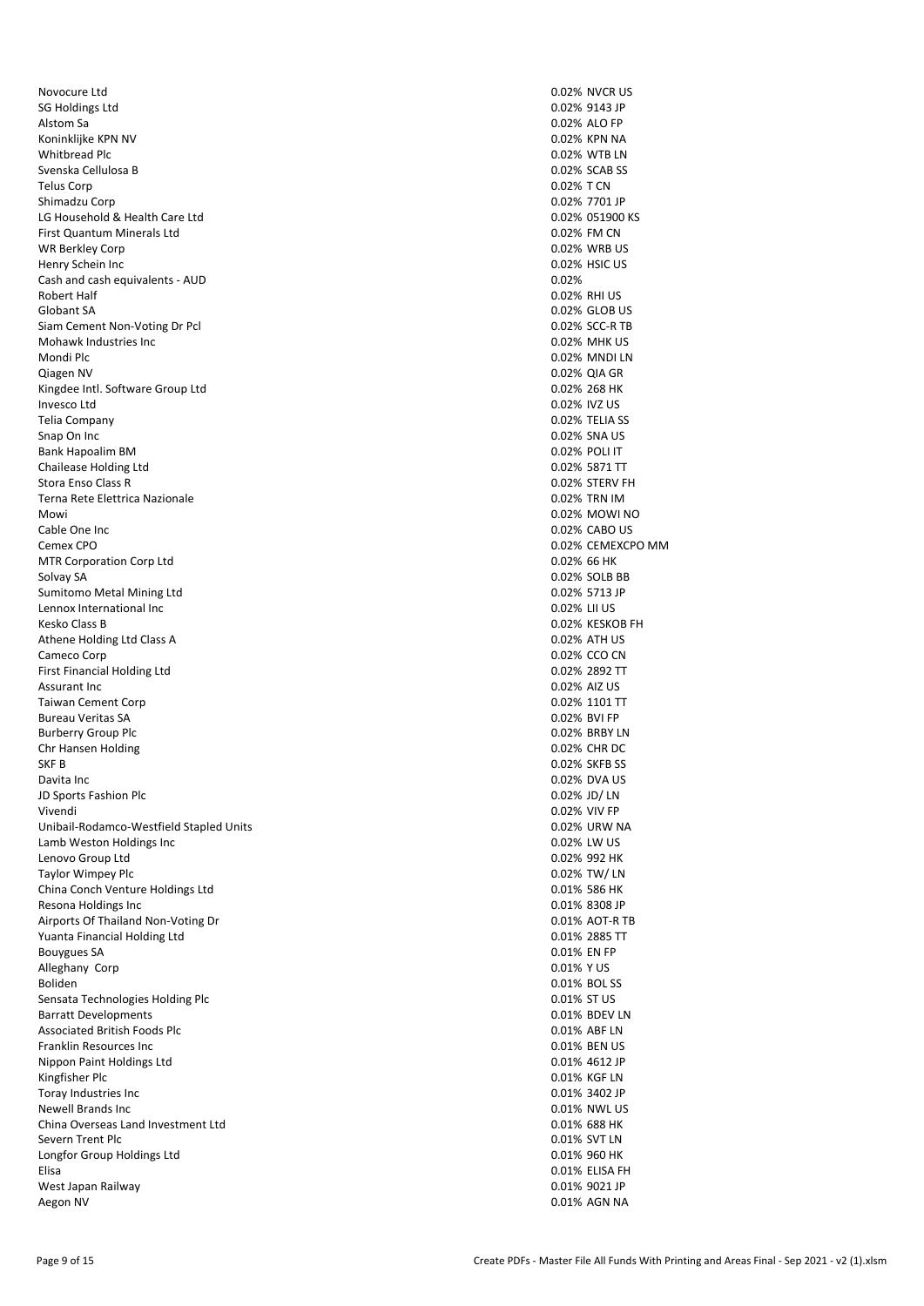Novocure Ltd **0.02% NVCR** US SG Holdings Ltd 0.02% 9143 JP Koninklijke KPN NV 0.02% KPN NA Whitbread Plc 0.02% WTB LN Svenska Cellulosa B 0.02% SCAB SS Telus Corp 0.02% T CN Shimadzu Corp 0.02% 7701 JP LG Household & Health Care Ltd 0.02% 051900 KS First Quantum Minerals Ltd 0.02% FM CN WR Berkley Corp Henry Schein Inc 0.02% HSIC US<br>
Cash and cash equivalents - AUD 0.02% HSIC US Cash and cash equivalents - AUD Robert Half **1.1 Community 1.000 Property American** COMMUNIC COMMUNIC CONTROL CONTROL CONTROL CONTROL CONTROL CONTROL CONTROL CONTROL CONTROL CONTROL CONTROL CONTROL CONTROL CONTROL CONTROL CONTROL CONTROL CONTROL CONTROL Globant SA 0.02% GLOB US Siam Cement Non-Voting Dr Pcl 0.02% SCC-R TB Mohawk Industries Inc. The Contract of Contract of Contract of Contract of Contract of Contract of Contract of Contract of Contract of Contract of Contract of Contract of Contract of Contract of Contract of Contract of Con Mondi Plc 0.02% MNDI LN Qiagen NV 0.02% QIA GR (1999) 0.02% QIA GR (1999) 0.02% QIA GR (1999) 0.02% QIA GR (1999) 0.02% QIA GR (1999) 0.02% QIA GR (1999) 0.02% QIA GR (1999) 0.02% QIA GR (1999) 0.02% Z68 HK Kingdee Intl. Software Group Ltd Invesco Ltd 0.02% IVZ US Telia Company 0.02% TELIA SS Snap On Inc 0.02% SNA US Bank Hapoalim BM 0.02% POLI IT Chailease Holding Ltd<br>
Stora Enso Class R<br>
2.02% 57ERV FH Stora Enso Class R Terna Rete Elettrica Nazionale 0.02% TRN IM Mowi and the contract of the contract of the contract of the contract of the contract of the contract of the contract of the contract of the contract of the contract of the contract of the contract of the contract of the c Cable One Inc 0.02% CABO US Cemex CPO 0.02% CEMEXCPO MM MTR Corporation Corp Ltd 0.02% 66 HK Solvay SA 0.02% SOLB BB Sumitomo Metal Mining Ltd 0.02% 5713 JP Lennox International Inc 0.02% LII US Kesko Class B 0.02% KESKOB FH Athene Holding Ltd Class A 0.02% ATH US Cameco Corp 0.02% CCO CN Cameco Corp 0.02% CCO CN Cameco Corp 0.02% CCO CN CORP 0.02% CCO CN CORP 0.02% CCO CN CORP 0.02% CCO CN CORP 0.02% CCO CN CORP 0.02% CCO CN CORP 0.02% 2892 TT First Financial Holding Ltd Assurant Inc 0.02% AIZ US Taiwan Cement Corp 0.02% 1101 TT Bureau Veritas SA 0.02% BVI FP Burberry Group Plc **Development Controllers** and the controllers of the controllers of the controllers of the controllers of the controllers of the controllers of the controllers of the controllers of the controllers of th Chr Hansen Holding 0.02% CHR DC SKF B 0.02% SKFB SS Davita Inc 0.02% DVA US JD Sports Fashion Plc 0.02% JD/ LN Vivendi 0.02% VIV FP Unibail-Rodamco-Westfield Stapled Units 0.02% URW NA Lamb Weston Holdings Inc 0.02% LW US Lenovo Group Ltd 0.02% 992 HK Taylor Wimpey Plc 0.02% TW/ LN China Conch Venture Holdings Ltd<br>
Resona Holdings Inc<br>
0.01% 8308 JP<br>
0.01% 8308 JP Resona Holdings Inc. Airports Of Thailand Non-Voting Dr 0.01% AOT-R TB Yuanta Financial Holding Ltd 0.01% 2885 TT Bouygues SA 0.01% EN FP Alleghany Corp Boliden 2008 Boliden 2008 Boliden 2008 Boliden 2008 Boliden 2009 Boliden 2009 Boliden 2009 Boliden 2009 Boliden Sensata Technologies Holding Plc **Sensata Technologies Holding Plc** 0.01% ST US 0.01% ST US<br>
Barratt Developments 0.01% SDEV LN **Barratt Developments** Associated British Foods Plc **Associated British Foods Plc** 6.01% ABF LN 6.01% ABF LN 6.01% ABF LN 6.01% ABF LN<br>1.001% BEN US Franklin Resources Inc. Nippon Paint Holdings Ltd<br>
Kingfisher Plc 0.01% 4612 JP<br>
0.01% KGE LN Kingfisher Plc 0.01% KGF LN 0.01% KGF LN 0.01% KGF LN 0.01% KGF LN 0.01% KGF LN 0.01% KGF LN 0.01% KGF LN 0.01% KGF LN 0.01% ASS Toray Industries Inc. Newell Brands Inc 2008 NWL US 2008 NWL US 2009 NWL US 2009 NWL US 2009 NWL US 2009 NWL US 2009 NWL US 2009 NWL China Overseas Land Investment Ltd 0.01% 688 HK Severn Trent Plc 0.01% SVT LN Longfor Group Holdings Ltd 0.01% 960 HK Elisa 0.01% ELISA FH West Japan Railway 0.01% 9021 JP Aegon NV 0.01% AGN NA

0.02% ALO FP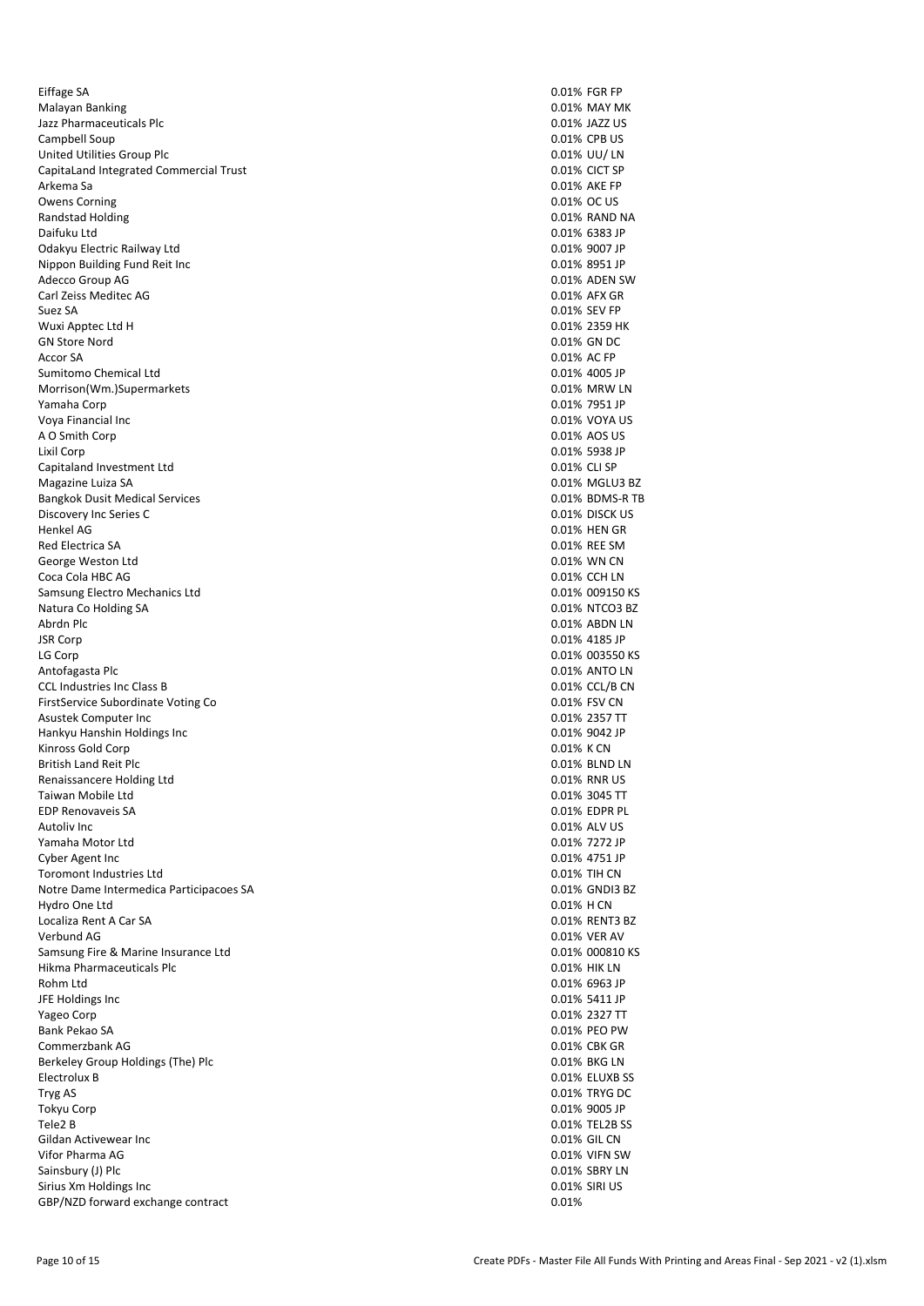Eiffage SA 0.01% FGR FP Malayan Banking 1989 Malayan Banking 1989 Malayan Banking 1989 Malayan Banking 1989 Malayan Banking 1989 Malay<br>
Malayan Banking 1989 Malayan Banking 1989 Malayan Banking 1989 Malayan Banking 1989 Malayan Banking 1989 Mala Jazz Pharmaceuticals Plc Campbell Soup 0.01% CPB US United Utilities Group Plc 0.01% UU/ LN CapitaLand Integrated Commercial Trust 0.01% CICT SP Arkema Sa 0.01% AKE FP Owens Corning **OUT CONTRACT CONTRACT CONTRACT CONTRACT CONTRACT CONTRACT CONTRACT CONTRACT CONTRACT OC US** Randstad Holding **Contract Contract Contract Contract Contract Contract Contract Contract Contract Contract Contract Contract Contract Contract Contract Contract Contract Contract Contract Contract Contract Contract Contra** Daifuku Ltd 0.01% 6383 JP Odakyu Electric Railway Ltd 0.01% 9007 JP Nippon Building Fund Reit Inc 0.01% 8951 JP Adecco Group AG 0.01% ADEN SW Carl Zeiss Meditec AG 0.01% AFX GR Suez SA 0.01% SEV FP Wuxi Apptec Ltd H 0.01% 2359 HK GN Store Nord 0.01% GN DC Accor SA 0.01% AC FP Sumitomo Chemical Ltd 0.01% 4005 JP Morrison(Wm.)Supermarkets **0.01% Markets** 0.01% MRW LN Yamaha Corp **0.01% 7951 JP** 0.01% 7951 JP Voya Financial Inc 0.01% VOYA US A O Smith Corp 0.01% AOS US Lixil Corp 0.01% 5938 JP Capitaland Investment Ltd<br>
Magazine Luiza SA 0.01% CLI SP<br>
Magazine Luiza SA 0.01% MGLU3 BZ Magazine Luiza SA Bangkok Dusit Medical Services 0.01% BDMS-R TB Discovery Inc Series C 0.01% DISCK US Henkel AG 0.01% HEN GR Red Electrica SA 0.01% REE SM George Weston Ltd **0.01% WN CN** Coca Cola HBC AG 0.01% CCH LN Samsung Electro Mechanics Ltd 0.01% 009150 KS Natura Co Holding SA 0.01% NTCO3 BZ Abrdn Plc 0.01% ABDN LN 0.01% ABDN LN 0.01% ABDN LN 0.01% ABDN LN 0.01% ABDN LN 0.01% ABDN LN 0.01% ABDN LN 0.01% ABDN LN 0.01% ABDN LN 0.01% ABDN LN 0.01% ABDN LN 0.01% ABDN LN 0.01% ABDN LN 0.01% ABDN LN 0.01% ABDN LN 0. JSR Corp 0.01% 4185 JP LG Corp 0.01% 003550 KS CCL Industries Inc Class B 0.01% CCL/B CN 0.01% CCL/B CN 0.01% CCL/B CN 0.01% CCL/B CN 0.01% CCL/B CN 0.01% CCL/B CN 0.01% FSV CN 0.01% FSV CN 0.01% FSV CN 0.01% FSV CN 0.01% FSV CN 0.01% FSV CN 0.01% FSV CN 0.01% FSV CN 0 FirstService Subordinate Voting Co. Asustek Computer Inc 0.01% 2357 TT Hankyu Hanshin Holdings Inc 0.01% 9042 JP Kinross Gold Corp **0.01% K** CN COLORED COLORED ASSESSED ASSESSED AS A CHARGE OF A CHARGE OF A CHARGE OF A CHARGE OF A CHARGE OF A CHARGE OF A CHARGE OF A CHARGE OF A CHARGE OF A CHARGE OF A CHARGE OF A CHARGE OF A CHARGE O British Land Reit Plc **0.01% BLND LN** Renaissancere Holding Ltd **0.01% RNR US COLLECT COLLECT COLLECT COLLECT COLLECT COLLECT COLLECT COLLECT COLLECT COLLECT COLLECT COLLECT COLLECT COLLECT COLLECT COLLECT COLLECT COLLECT** Taiwan Mobile Ltd<br>
EDP Renovaveis SA Solution of the Contract of the Contract of the Contract of the Contract of the Contract of the Contract of the Contract of the Contract of the Contract of the Contract of the Contract EDP Renovaveis SA<br>Autoliv Inc Yamaha Motor Ltd 0.01% 7272 JP Cyber Agent Inc 0.01% 4751 JP Toromont Industries Ltd **0.01% TIH CN** Notre Dame Intermedica Participacoes SA 0.01% GNDI3 BZ<br>
Hydro One Ltd 0.01% H CN 0.01% GNDI3 BZ Hydro One Ltd Localiza Rent A Car SA 0.01% RENT3 BZ Verbund AG 0.01% VER AV Samsung Fire & Marine Insurance Ltd<br>
Hikma Pharmaceuticals Plc<br>
O.01% HIK LN Hikma Pharmaceuticals Plc 0.01% HIK LN Rohm Ltd 0.01% 6963 JP JFE Holdings Inc 0.01% 5411 JP Yageo Corp 0.01% 2327 TT Bank Pekao SA 0.01% PEO PW Commerzbank AG Berkeley Group Holdings (The) Plc 0.01% BKG LN Electrolux B 0.01% ELUXB SS Tryg AS 0.01% TRYG DC 0.01% TRYG DC 0.01% TRYG DC 0.01% TRYG DC 0.01% TRYG DC Tokyu Corp 0.01% 9005 JP Tele2 B 0.01% TEL2B SS Gildan Activewear Inc **0.01% GIL CN** 0.01% GIL CN Vifor Pharma AG 0.01% VIFN SW Sainsbury (J) Plc 0.01% SBRY LN Sirius Xm Holdings Inc 0.01% SIRI US GBP/NZD forward exchange contract 0.01%

0.01% ANTO LN 0.01% ALV US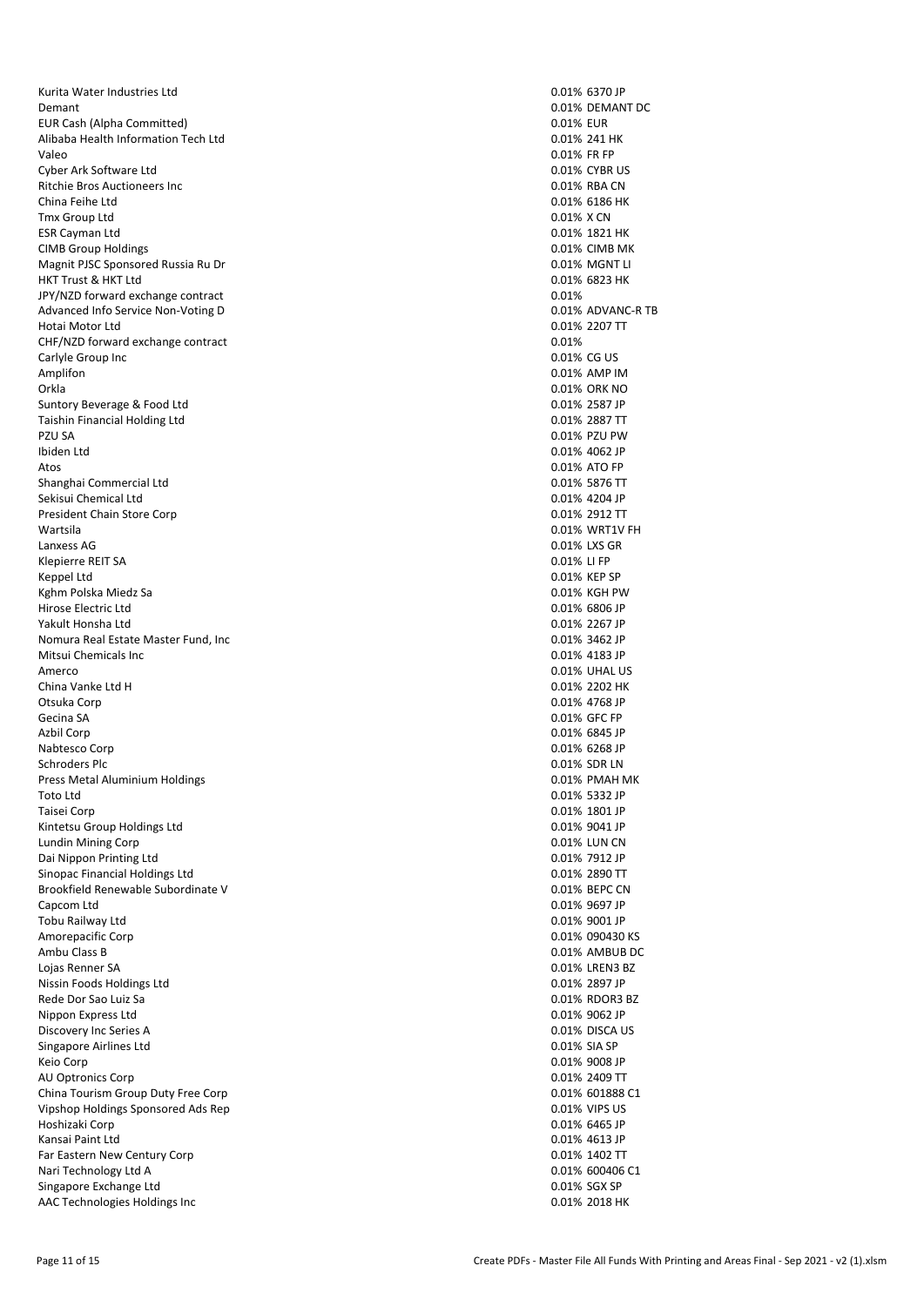Kurita Water Industries Ltd 0.01% 6370 JP Demant 0.01% DEMANT DC EUR Cash (Alpha Committed) 0.01% EUR Alibaba Health Information Tech Ltd 0.01% 241 HK Valeo 0.01% FR FP Cyber Ark Software Ltd 0.01% CYBR US Ritchie Bros Auctioneers Inc<br>
China Feihe Ltd<br>
0.01% RBA CN<br>
0.01% RBA CN  $T$ mx Group Ltd  $0.01\%$  X CN  $\overline{0.01\%}$  X CN  $\overline{0.01\%}$  X CN  $\overline{0.01\%}$  1821 HK ESR Cayman Ltd 6.01% 1821 HK (1.01% 1821 HK) 6.01% 1821 HK (1.01% 1821 HK) 6.01% 1821 HK (1.01% 1821 HK) 6.01% 1821 HK CIMB Group Holdings Magnit PJSC Sponsored Russia Ru Dr<br>
HKT Trust & HKT Ltd<br>
O.01% 6823 HK HKT Trust & HKT Ltd JPY/NZD forward exchange contract  $0.01\%$ <br>Advanced Info Service Non-Voting D<br>D.01% ADVANC-R TB Advanced Info Service Non-Voting D Hotai Motor Ltd 0.01% 2207 TT CHF/NZD forward exchange contract 0.01% Carlyle Group Inc 0.01% CG US Amplifon 0.01% AMP IM Orkla 0.01% ORK NO Suntory Beverage & Food Ltd 0.01% 2587 JP Taishin Financial Holding Ltd 0.01% 2887 TT PZU SA 0.01% PZU PW Ibiden Ltd 0.01% 4062 JP Atos 0.01% ATO FP Shanghai Commercial Ltd 0.01% 5876 TT Sekisui Chemical Ltd 0.01% 4204 JP President Chain Store Corp 0.01% 2912 TT Wartsila 0.01% WRT1V FH Lanxess AG 0.01% LXS GR Klepierre REIT SA 0.01% LI FP Keppel Ltd 0.01% KEP SP Kghm Polska Miedz Sa 0.01% KGH PW Hirose Electric Ltd 0.01% 6806 JP Yakult Honsha Ltd Nomura Real Estate Master Fund, Inc<br>
Mitsui Chemicals Inc 0.01% 3462 JP<br>
0.01% 4183 JP 0.01% 4183 JP Mitsui Chemicals Inc.<br>Amerco China Vanke Ltd H 0.01% 2202 HK 0.01% 2202 HK 0.01% 2202 HK 0.01% 2202 HK 0.01% 2202 HK Gecina SA 0.01% GFC FP Azbil Corp 0.01% 6845 JP Nabtesco Corp 0.01% 6268 JP Schroders Plc 0.01% SDR LN 0.01% SDR LN 0.01% SDR LN 0.01% SDR LN 0.01% SDR LN 0.01% SDR LN 0.01% SDR LN 0.01% Press Metal Aluminium Holdings **Community Press Metal Aluminium Holdings Community PMAH MK** Toto Ltd 0.01% 5332 JP Taisei Corp 0.01% 1801 JP Extending Manual Control of the United States of the United States of the United States of the United States of the United States of the United States of the United States of the United States of the United States of the U Lundin Mining Corp Dai Nippon Printing Ltd 0.01% 7912 JP Sinopac Financial Holdings Ltd 0.01% 2890 TT Brookfield Renewable Subordinate V 0.01% BEPC CN Capcom Ltd 0.01% 9697 JP Tobu Railway Ltd **2001 JP** 2001 JP 2001 JP 2001 JP 2001 JP 2001 JP 2001 JP 2001 JP 2001 JP 2001 JP 3001 JP 3001 JP 3001 JP 3001 JP 3001 JP 3001 JP 3001 JP 3001 JP 3001 JP 3001 JP 3001 JP 3001 JP 3001 JP 3001 JP 3001 JP 300 Amorepacific Corp 2004 Compact 2006 Corp 201 Manual 2006 Corp 201 Manual 2006 Corp 201 Manual 2006 Corp 201 Manual 2006 Corp 201 Manual 2006 Corp 201 Manual 2006 Corp 201 Manual 201 Manual 201 Manual 201 Manual 201 Manual Ambu Class B 0.01% AMBUB DC Lojas Renner SA 0.01% LREN3 BZ Nissin Foods Holdings Ltd 0.01% 2897 JP Rede Dor Sao Luiz San North Communications of the Communication of the Communication of the Communications of the Communications of the Communications of the Communications of the Communications of the Communications of th Nippon Express Ltd Discovery Inc Series A 0.01% DISCA US and DISCA US and DISCA US of the US of the US of the US of the US of the U<br>
Discovery Inc Series A 0.01% SIA SP of the US of the US of the US of the US of the US of the US of the US of Singapore Airlines Ltd Keio Corp 0.01% 9008 JP AU Optronics Corp 0.01% 2409 TT<br>
China Tourism Group Duty Free Corp 0.01% 2009 TT<br>
20.01% 601888 C1 China Tourism Group Duty Free Corp Vipshop Holdings Sponsored Ads Rep 0.01% VIPS US Hoshizaki Corp 0.01% 6465 JP Kansai Paint Ltd **0.01% 4613 JP** 0.01% 4613 JP Far Eastern New Century Corp 0.01% 1402 TT Nari Technology Ltd A 0.01% 600406 C1 Singapore Exchange Ltd **0.01% SGX SP** 0.01% SGX SP AAC Technologies Holdings Inc 0.01% 2018 HK

0.01% 6186 HK 0.01% UHAL US 0.01% 4768 JP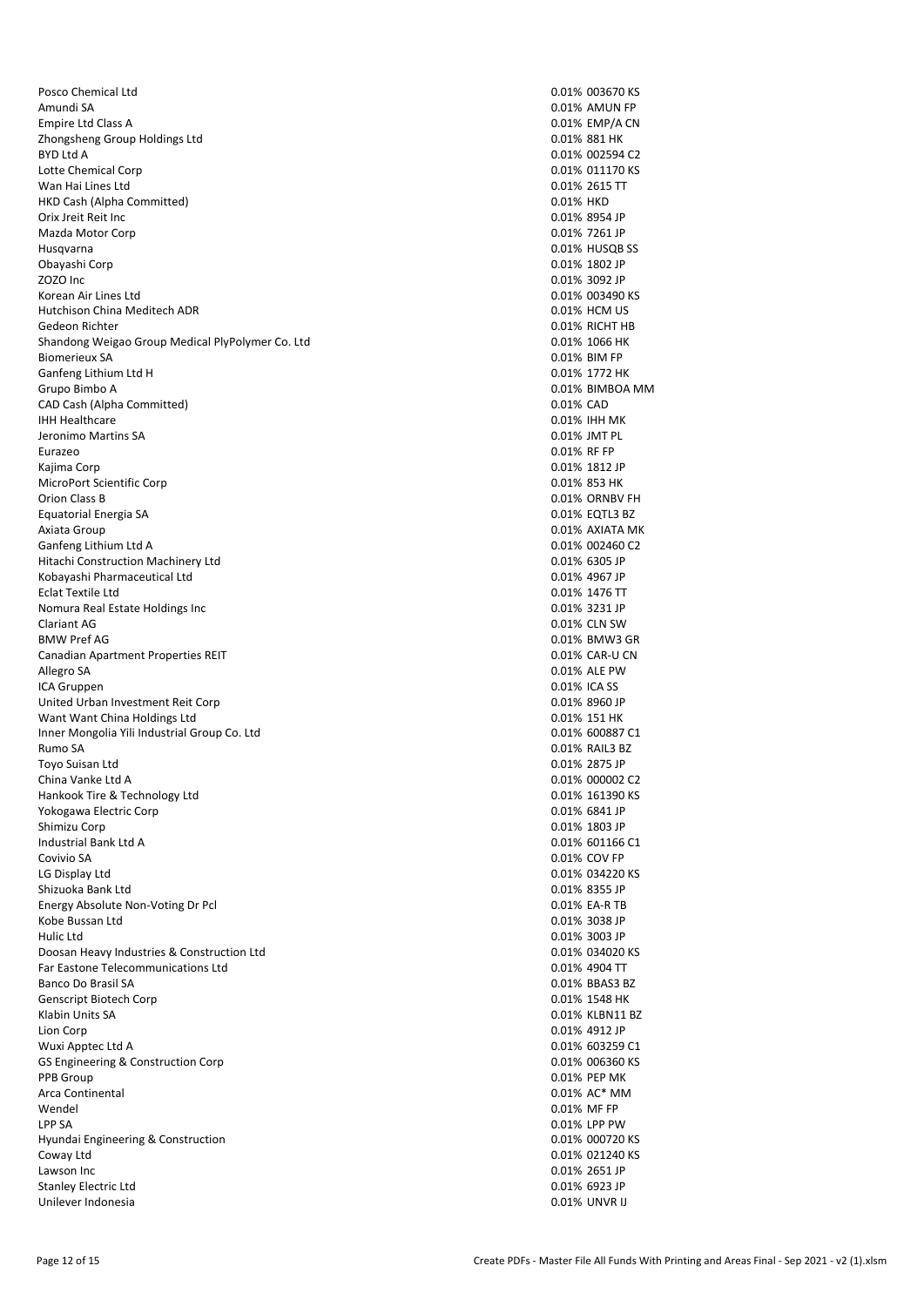Posco Chemical Ltd **0.01% 003670 KS** Amundi SA 0.01% AMUN FP 2001 2001 2002 2003 2004 2004 2005 2007 2008 2009 2012 2013 2014 2015 2016 2017 2018 20<br>Compire Ltd Class A Empire Ltd Class A Zhongsheng Group Holdings Ltd 0.01% 881 HK BYD Ltd A 0.01% 002594 C2 Lotte Chemical Corp **0.01% 011170 KS** COLOR 0.01% 0.01% 0.01% 0.01% 0.01% 0.01% 0.01% 0.01% 0.01% 0.01% 0.01% 0.01% 0.01% 0.01% 0.01% 0.01% 0.01% 0.01% 0.01% 0.01% 0.01% 0.01% 0.01% 0.01% 0.01% 0.01% 0.01% 0.01% 0.01% 0.01 Wan Hai Lines Ltd 0.01% 2615 TT HKD Cash (Alpha Committed) Orix Jreit Reit Inc 0.01% 8954 JP Mazda Motor Corp Husqvarna 0.01% HUSQB SS Obayashi Corp 0.01% 1802 JP Korean Air Lines Ltd **0.01% 003490 KS** Hutchison China Meditech ADR 0.01% HCM US Gedeon Richter 0.01% RICHT HB Shandong Weigao Group Medical PlyPolymer Co. Ltd 0.01 0.01% 1066 HK Biomerieux SA 0.01% BIM FP Ganfeng Lithium Ltd H 0.01% 1772 HK Grupo Bimbo A 0.01% BIMBOA MM CAD Cash (Alpha Committed) and Cash (Alpha Committed) and Cash (Alpha Cash Cash Cash Capital Cash Capital Cash Capital Cash Capital Capital Capital Cash Capital Capital Capital Capital Capital Capital Capital Capital Capit IHH Healthcare 0.01% IHH MK Jeronimo Martins SA 0.01% JMT PL Eurazeo 0.01% RF FP Kajima Corp 0.01% 1812 JP MicroPort Scientific Corp Orion Class B 0.01% ORNBV FH Equatorial Energia SA 0.01% EQTL3 BZ Axiata Group 0.01% AXIATA MK Ganfeng Lithium Ltd A 0.01% 002460 C2 Hitachi Construction Machinery Ltd 0.01% 6305 JP Kobayashi Pharmaceutical Ltd 0.01% 4967 JP Eclat Textile Ltd 0.01% 1476 TT Nomura Real Estate Holdings Inc<br>
Clariant AG 0.01% 3231 JP<br>
Clariant AG 0.01% CLN SW Clariant AG 0.01% CLN SW 0.01% CLN SW 0.01% CLN SW 0.01% CLN SW 0.01% CLN SW 0.01% CLN SW 0.01% CLN SW 0.01% CLN SW BMW Pref AG 0.01% BMW3 GR Canadian Apartment Properties REIT<br>Allegro SA 0.01% CAR-U CN ICA Gruppen 0.01% ICA SS United Urban Investment Reit Corp and Control of Control of Control of Control of Control of Control of Control of Control of Control of Control of Control of Control of Control of Control of Contr United Urban Investment Reit Corp Want Want China Holdings Ltd 0.01% 151 HK Inner Mongolia Yili Industrial Group Co. Ltd 0.01% 600887 C1 Rumo SA 0.01% RAIL3 BZ Toyo Suisan Ltd 0.01% 2875 JP China Vanke Ltd A 0.01% 000002 C2 Hankook Tire & Technology Ltd 0.01% 161390 KS Yokogawa Electric Corp<br>Shimizu Corp Industrial Bank Ltd A 0.01% 601166 C1 Covivio SA 0.01% COV FP LG Display Ltd **Display Ltd** 0.01% 034220 KS Shizuoka Bank Ltd<br>
Energy Absolute Non-Voting Dr Pcl<br>
D.01% EA-R TB 0.01% 6A-R TB Energy Absolute Non-Voting Dr Pcl Kobe Bussan Ltd **6.01% 3038 JP 1.012 States and Contact Contact Contact Contact Contact Contact Contact Contact Contact Contact Contact Contact Contact Contact Contact Contact Contact Contact Contact Contact Contact Contac** Hulic Ltd 0.01% 3003 JP Doosan Heavy Industries & Construction Ltd<br>
Far Eastone Telecommunications Ltd<br>
0.01% 4904 TT Far Eastone Telecommunications Ltd Banco Do Brasil SA 0.01% BBAS3 BZ Genscript Biotech Corp Klabin Units SA 0.01% KLBN11 BZ Lion Corp 0.01% 4912 JP Wuxi Apptec Ltd A 0.01% 603259 C1 GS Engineering & Construction Corp 6.01% 006360 KS Engineering & Construction Corp 0.01% 006360 KS PPB Group 0.01% PEP MK Arca Continental 0.01% AC\* MM Wendel 0.01% MF FP LPP SA 0.01% LPP PW Hyundai Engineering & Construction **Districts** Construction **0.01% 000720 KS** Coway Ltd 0.01% 021240 KS Lawson Inc 2651 JP Stanley Electric Ltd<br>
Stanley Electric Ltd<br>
Unilever Indonesia<br>
O.01% UNVR II Unilever Indonesia

0.01% 3092 JP 0.01% ALE PW 0.01% 1803 JP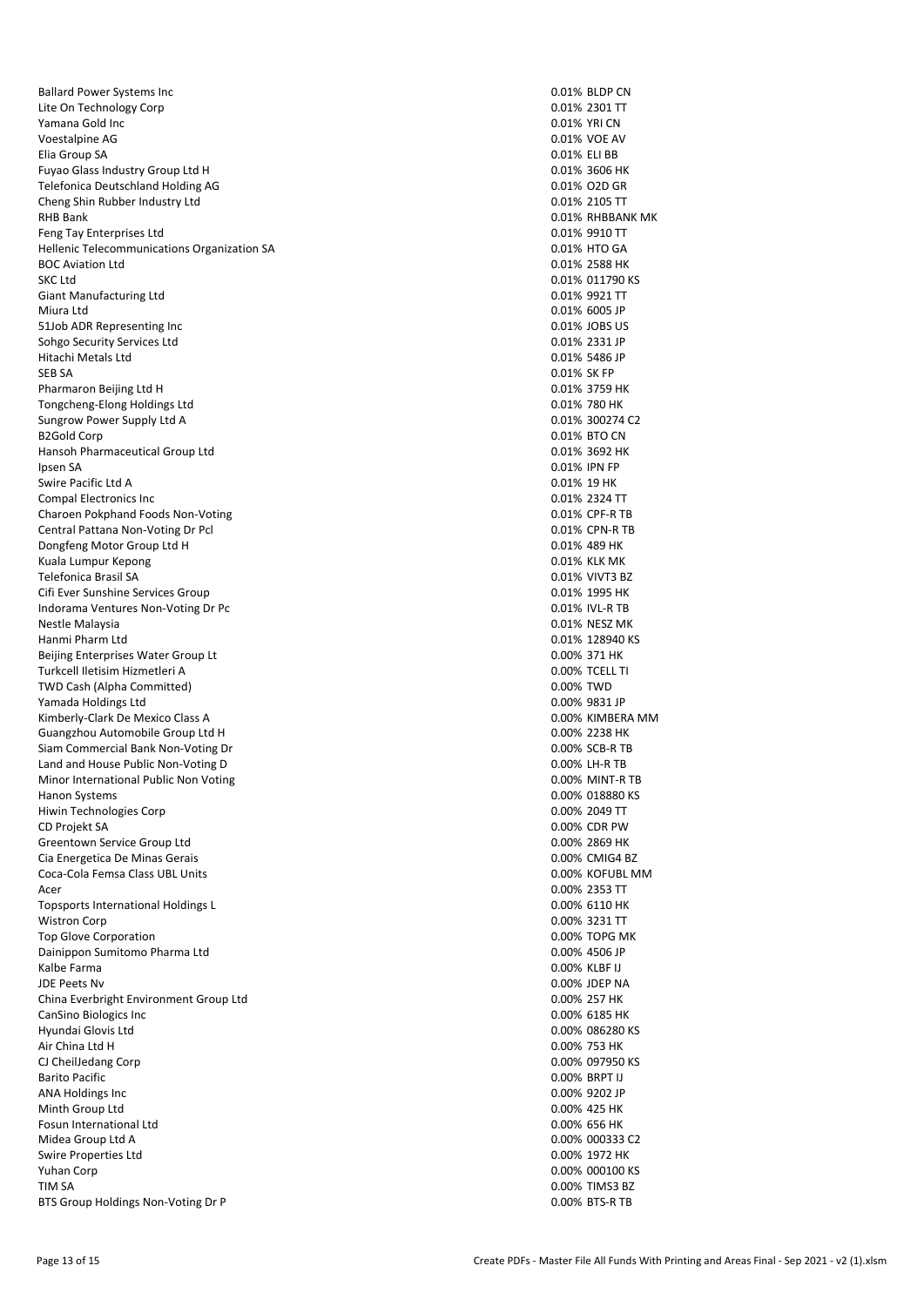Ballard Power Systems Inc 0.01% BLDP CN Lite On Technology Corp 6 and the United States of the United States of the United States of the United States<br>
1.001% 2301 TT<br>
2.01% YRI CN Yamana Gold Inc Voestalpine AG 0.01% VOE AV 0.01% VOE AV 0.01% VOE AV 0.01% VOE AV 0.01% VOE AV 0.01% VOE AV 0.01% VOE AV 0.01% VOE AV 0.01% VOE AV 0.01% VOE AV 0.01% VOE AV 0.01% VOE AV 0.01% VOE AV 0.01% VOE AV 0.01% VOE AV 0.01% VOE AV Elia Group SA 0.01% ELI BB Fuyao Glass Industry Group Ltd H 0.01% 3606 HK Telefonica Deutschland Holding AG 0.01% O2D GR<br>
Cheng Shin Rubber Industry Ltd 0.01% O2D GR Cheng Shin Rubber Industry Ltd RHB Bank 0.01% RHBBANK MK 6.01% RHBBANK MK 6.01% RHBBANK MK 6.01% RHBBANK MK 6.01% RHBBANK MK 6.01% RHBBANK MK Feng Tay Enterprises Ltd<br>
Hellenic Telecommunications Organization SA  $0.01\%$  9910 TT<br>
Hellenic Telecommunications Organization SA Hellenic Telecommunications Organization SA BOC Aviation Ltd 0.01% 2588 HK Giant Manufacturing Ltd **0.01% 9921 TT** 0.01% 9921 TT Miura Ltd 0.01% 6005 JP 51Job ADR Representing Inc 0.01% JOBS US Sohgo Security Services Ltd 0.01% 2331 JP Hitachi Metals Ltd 0.01% 5486 JP SEB SA 0.01% SK FP Pharmaron Beijing Ltd H 0.01% 3759 HK Tongcheng-Elong Holdings Ltd 0.01% 780 HK Sungrow Power Supply Ltd A 0.01% 300274 C2 B2Gold Corp 0.01% BTO CN Hansoh Pharmaceutical Group Ltd 0.01% 3692 HK Ipsen SA 0.01% IPN FP Swire Pacific Ltd A 0.01% 19 HK Compal Electronics Inc 0.01% 2324 TT Charoen Pokphand Foods Non-Voting 0.01% CPF-R TB Central Pattana Non-Voting Dr Pcl 0.01% CPN-R TB Dongfeng Motor Group Ltd H 0.01% 489 HK Kuala Lumpur Kepong **0.01% KLK MK** Telefonica Brasil SA 0.01% VIVT3 BZ Cifi Ever Sunshine Services Group 0.01% 1995 HK Indorama Ventures Non-Voting Dr Pc 0.01% IVL-R TB Nestle Malaysia 0.01% NESZ MK Hanmi Pharm Ltd 0.01% 128940 KS Beijing Enterprises Water Group Lt<br>
Turkcell lletisim Hizmetleri A<br>
O.00% TCELL TI Turkcell Iletisim Hizmetleri A. TWD Cash (Alpha Committed) and the committed of the committed of the committed of the committed of the committed of the committed of the committed of the committed of the committed of the committed of the committed of the Yamada Holdings Ltd Kimberly-Clark De Mexico Class A 0.00% KIMBERA MM Guangzhou Automobile Group Ltd H 0.00% 2238 HK Siam Commercial Bank Non-Voting Dr 0.00% SCB-R TB Land and House Public Non-Voting D 0.00% LH-R TB Minor International Public Non Voting 0.00% MINT-R TB Hanon Systems 0.00% 018880 KS Hiwin Technologies Corp and the control of the control of the control of the control of the control of the control of the control of the control of the control of the control of the control of the control of the control of CD Projekt SA Greentown Service Group Ltd 0.00% 2869 HK Cia Energetica De Minas Gerais 0.00% CMIG4 BZ Coca-Cola Femsa Class UBL Units 0.00% KOFUBL MM Acer 2000% 2353 TT Topsports International Holdings L 0.00% 6110 HK Wistron Corp 0.00% 3231 TT Top Glove Corporation **The Corporation** 0.00% TOPG MK Dainippon Sumitomo Pharma Ltd 0.00% 4506 JP Kalbe Farma 0.00% KLBF IJ JDE Peets Nv 0.00% JDEP NA China Everbright Environment Group Ltd 0.00% 257 HK CanSino Biologics Inc 0.00% 6185 HK Hyundai Glovis Ltd<br>
Air China Ltd H<br>
Air China Ltd H 0.00% 753 HK Air China Ltd H CJ CheilJedang Corp 0.00% 097950 KS Barito Pacific 0.00% BRPT IJ ANA Holdings Inc 2002 12 and 2008 9202 JP Minth Group Ltd 0.00% 425 HK Fosun International Ltd 0.00% 656 HK Midea Group Ltd A 0.00% 000333 C2 Swire Properties Ltd 0.00% 1972 HK Yuhan Corp 0.00% 000100 KS TIM SA 0.00% TIMS3 BZ BTS Group Holdings Non-Voting Dr P 0.00% BTS-R TB

0.01% 011790 KS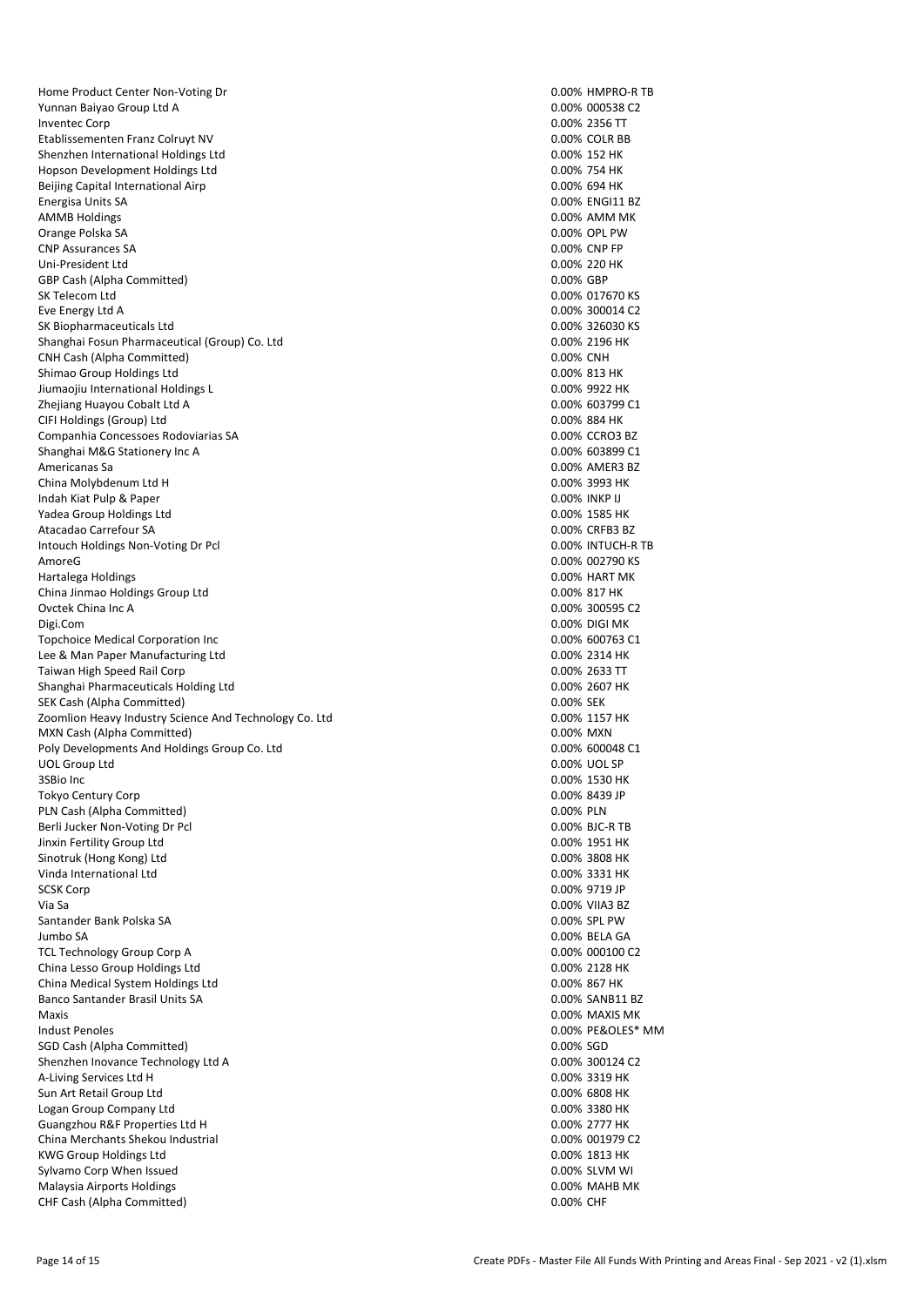Home Product Center Non-Voting Dr 0.00% HMPRO-R TB Yunnan Baiyao Group Ltd A 0.00% 000538 C2 Inventec Corp Etablissementen Franz Colruyt NV 0.00% COLR BB Shenzhen International Holdings Ltd 0.00% 152 HK Hopson Development Holdings Ltd 0.00% 754 HK Beijing Capital International Airp 10.00% 694 HK<br>
Energisa Units SA 10.00% 694 HK Energisa Units SA AMMB Holdings and the control of the control of the control of the control of the control of the control of the control of the control of the control of the control of the control of the control of the control of the contr Orange Polska SA 0.00% OPL PW 0.00% OPL PW 0.00% OPL PW 0.00% OPL PW 0.00% OPL PW 0.00% OPL PW 0.00% OPL PW 0.00% OPL PW 0.00% OPL PW 0.00% OPL PW 0.00% OPL PW 0.00% OPL PW 0.00% OPL PW 0.00% OPL PW 0.00% OPL PW 0.00% OPL CNP Assurances SA Uni-President Ltd 0.00% 220 HK GBP Cash (Alpha Committed) SK Telecom Ltd **0.00% 017670 KS** Eve Energy Ltd A 0.00% 300014 C2 SK Biopharmaceuticals Ltd 0.00% 326030 KS Shanghai Fosun Pharmaceutical (Group) Co. Ltd 0.000 0.000 0.000 0.000 0.000 0.000 0.000 0.000 0.000 0.000 0.00 CNH Cash (Alpha Committed) 0.00% CNH Shimao Group Holdings Ltd<br>1.000% 813 HK (1.000% 813 HK (1.000% 813 HK (1.000% 813 HK (1.000% 9922 HK) Jiumaojiu International Holdings L Zhejiang Huayou Cobalt Ltd A 0.00% 603799 C1 CIFI Holdings (Group) Ltd 0.00% 884 HK Companhia Concessoes Rodoviarias SA 0.00% CCRO3 BZ Shanghai M&G Stationery Inc A 0.00% 603899 C1 Americanas Sa **0.00% AMER3 BZ**<br>
China Molybdenum Ltd H<br>
0.00% 3993 HK China Molybdenum Ltd H Indah Kiat Pulp & Paper 0.00% INKP IJ Yadea Group Holdings Ltd 0.00% 1585 HK Atacadao Carrefour SA 0.00% CRFB3 BZ Intouch Holdings Non-Voting Dr Pcl 0.00% INTUCH-R TB AmoreG 0.00% 002790 KS Hartalega Holdings 0.00% HART MK China Jinmao Holdings Group Ltd 0.00% 817 HK Ovctek China Inc A 0.00% 300595 C2 Digi.Com 0.00% DIGI MK Topchoice Medical Corporation Inc 0.00% 600763 C1 Lee & Man Paper Manufacturing Ltd 0.00% 2314 HK Taiwan High Speed Rail Corp 0.00% 2633 TT Shanghai Pharmaceuticals Holding Ltd<br>
SEK Cash (Alpha Committed) 8.000% 2607 HK<br>
20.00% 2607 HK SEK Cash (Alpha Committed) Zoomlion Heavy Industry Science And Technology Co. Ltd 0.00% 1157 HK MXN Cash (Alpha Committed) 0.00% MXN Poly Developments And Holdings Group Co. Ltd 0.00% 600048 C1 UOL Group Ltd 0.00% UOL SP 3SBio Inc 0.00% 1530 HK Tokyo Century Corp 0.00% 8439 JP PLN Cash (Alpha Committed) and the committed of the committed of the committed of the committed of the committed of the committed of the committed of the committed of the committed of the committed of the committed of the Berli Jucker Non-Voting Dr Pcl<br>
1990 - Binxin Fertility Group Ltd<br>
1991 - D.00% BJC-R TB Jinxin Fertility Group Ltd Sinotruk (Hong Kong) Ltd 0.00% 3808 HK Vinda International Ltd 0.00% 3331 HK SCSK Corp 0.00% 9719 JP Via Sa 0.00% VIIA3 BZ Santander Bank Polska SA 0.00% SPL PW Jumbo SA 0.00% BELA GA TCL Technology Group Corp A 0.00% 000100 C2<br>
China Lesso Group Holdings Ltd<br>
0.00% 2128 HK China Lesso Group Holdings Ltd China Medical System Holdings Ltd 0.00% 867 HK Banco Santander Brasil Units SA 0.00% SANB11 BZ Maxis 0.00% MAXIS MK Indust Penoles **1.1 and 2.000 PE&OLES\*** MM<br>
SGD Cash (Alpha Committed) **PEADLES**\* MM SGD Cash (Alpha Committed) Shenzhen Inovance Technology Ltd A<br>
A-Living Services Ltd H<br>
A-Living Services Ltd H A-Living Services Ltd H Sun Art Retail Group Ltd 0.00% 6808 HK Logan Group Company Ltd **1.1 September 2008 120 HK** company Ltd 0.00% 3380 HK Guangzhou R&F Properties Ltd H 0.00% 2777 HK China Merchants Shekou Industrial 0.00% 001979 C2 KWG Group Holdings Ltd 0.00% 1813 HK Sylvamo Corp When Issued **0.00% SLVM WI** Malaysia Airports Holdings **0.00% MAHB MK** Malaysia Airports Holdings **0.00% MAHB MK** CHF Cash (Alpha Committed) 0.00% CHF